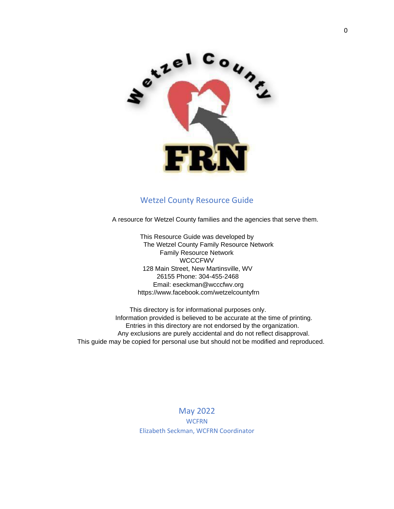

## Wetzel County Resource Guide

A resource for Wetzel County families and the agencies that serve them.

This Resource Guide was developed by The Wetzel County Family Resource Network Family Resource Network **WCCCFWV** 128 Main Street, New Martinsville, WV 26155 Phone: 304-455-2468 Email: eseckman@wcccfwv.org https://www.facebook.com/wetzelcountyfrn

 This directory is for informational purposes only. Information provided is believed to be accurate at the time of printing. Entries in this directory are not endorsed by the organization. Any exclusions are purely accidental and do not reflect disapproval. This guide may be copied for personal use but should not be modified and reproduced.

> May 2022 **WCFRN** Elizabeth Seckman, WCFRN Coordinator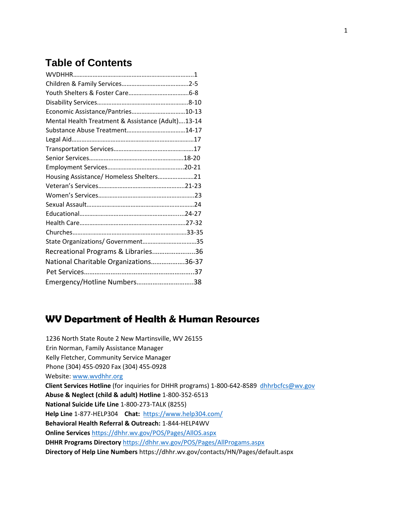# **Table of Contents**

| Economic Assistance/Pantries10-13                 |  |
|---------------------------------------------------|--|
| Mental Health Treatment & Assistance (Adult)13-14 |  |
|                                                   |  |
|                                                   |  |
|                                                   |  |
|                                                   |  |
|                                                   |  |
| Housing Assistance/ Homeless Shelters21           |  |
|                                                   |  |
|                                                   |  |
|                                                   |  |
|                                                   |  |
|                                                   |  |
|                                                   |  |
| State Organizations/ Government35                 |  |
| Recreational Programs & Libraries36               |  |
| National Charitable Organizations36-37            |  |
|                                                   |  |
| Emergency/Hotline Numbers38                       |  |

## **WV Department of Health & Human Resources**

1236 North State Route 2 New Martinsville, WV 26155 Erin Norman, Family Assistance Manager Kelly Fletcher, Community Service Manager Phone (304) 455-0920 Fax (304) 455-0928 Website: [www.wvdhhr.org](http://www.wvdhhr.org/)  **Client Services Hotline** (for inquiries for DHHR programs) 1-800-642-8589 [dhhrbcfcs@wv.gov](mailto:dhhrbcfcs@wv.gov) **Abuse & Neglect (child & adult) Hotline** 1-800-352-6513 **National Suicide Life Line** 1-800-273-TALK (8255) **Help Line** 1-877-HELP304 **Chat:** <https://www.help304.com/> **Behavioral Health Referral & Outreach:** 1-844-HELP4WV **Online Services** <https://dhhr.wv.gov/POS/Pages/AllOS.aspx> **DHHR Programs Directory** <https://dhhr.wv.gov/POS/Pages/AllProgams.aspx> **Directory of Help Line Numbers** https://dhhr.wv.gov/contacts/HN/Pages/default.aspx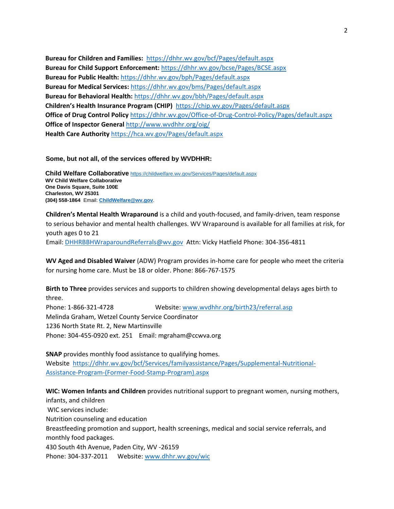**Bureau for Children and Families:** <https://dhhr.wv.gov/bcf/Pages/default.aspx> **Bureau for Child Support Enforcement:** <https://dhhr.wv.gov/bcse/Pages/BCSE.aspx> **Bureau for Public Health:** <https://dhhr.wv.gov/bph/Pages/default.aspx> **Bureau for Medical Services:** <https://dhhr.wv.gov/bms/Pages/default.aspx> **Bureau for Behavioral Health:** <https://dhhr.wv.gov/bbh/Pages/default.aspx> **Children's Health Insurance Program (CHIP)** <https://chip.wv.gov/Pages/default.aspx> **Office of Drug Control Policy** <https://dhhr.wv.gov/Office-of-Drug-Control-Policy/Pages/default.aspx> **Office of Inspector General** <http://www.wvdhhr.org/oig/> **Health Care Authority** <https://hca.wv.gov/Pages/default.aspx>

**Some, but not all, of the services offered by WVDHHR:**

**Child Welfare Collaborative** <https://childwelfare.wv.gov/Services/Pages/default.aspx> **WV Child Welfare Collaborative One Davis Square, Suite 100E Charleston, WV 25301 (304) 558-1864** Email: **[ChildWelfare@wv.gov](mailto:ChildWelfare@wv.gov)**.

**Children's Mental Health Wraparound** is a child and youth-focused, and family-driven, team response to serious behavior and mental health challenges. WV Wraparound is available for all families at risk, for youth ages 0 to 21 Email: [DHHRBBHWraparoundReferrals@wv.gov](mailto:DHHRBBHWraparoundReferrals@wv.gov) Attn: Vicky Hatfield Phone: 304-356-4811

**WV Aged and Disabled Waiver** (ADW) Program provides in-home care for people who meet the criteria for nursing home care. Must be 18 or older. Phone: 866-767-1575

**Birth to Three** provides services and supports to children showing developmental delays ages birth to three.

Phone: 1-866-321-4728 Website: [www.wvdhhr.org/birth23/referral.asp](https://webmail.suddenlink.net/do/redirect?url=http%253A%252F%252Fwww.wvdhhr.org%252Fbirth23%252Freferral.asp&hmac=0e40fd13ec1a479768c94cc17890df31) Melinda Graham, Wetzel County Service Coordinator 1236 North State Rt. 2, New Martinsville Phone: 304-455-0920 ext. 251 Email: mgraham@ccwva.org

**SNAP** provides monthly food assistance to qualifying homes. Website [https://dhhr.wv.gov/bcf/Services/familyassistance/Pages/Supplemental-Nutritional-](https://dhhr.wv.gov/bcf/Services/familyassistance/Pages/Supplemental-Nutritional-Assistance-Program-(Former-Food-Stamp-Program).aspx)[Assistance-Program-\(Former-Food-Stamp-Program\).aspx](https://dhhr.wv.gov/bcf/Services/familyassistance/Pages/Supplemental-Nutritional-Assistance-Program-(Former-Food-Stamp-Program).aspx)

**WIC: Women Infants and Children** provides nutritional support to pregnant women, nursing mothers, infants, and children WIC services include: Nutrition counseling and education Breastfeeding promotion and support, health screenings, medical and social service referrals, and monthly food packages. 430 South 4th Avenue, Paden City, WV -26159 Phone: 304-337-2011 Website: [www.dhhr.wv.gov/wic](http://www.dhhr.wv.gov/wic)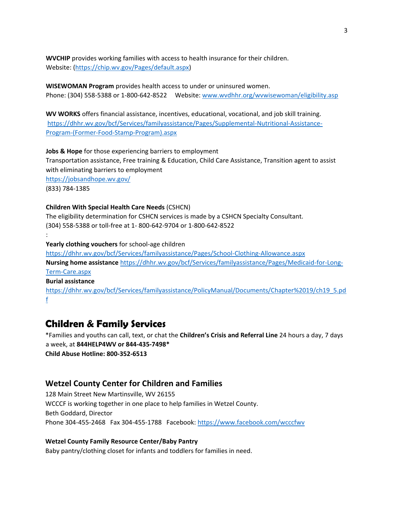**WVCHIP** provides working families with access to health insurance for their children. Website: [\(https://chip.wv.gov/Pages/default.aspx\)](https://webmail.suddenlink.net/do/redirect?url=https%253A%252F%252Fchip.wv.gov%252FPages%252Fdefault.aspx&hmac=9cbd5a72630141fd1c3a2d3690e3fdec)

**WISEWOMAN Program** provides health access to under or uninsured women. Phone: (304) 558-5388 or 1-800-642-8522 Website: [www.wvdhhr.org/wvwisewoman/eligibility.asp](https://webmail.suddenlink.net/do/redirect?url=http%253A%252F%252Fwww.wvdhhr.org%252Fwvwisewoman%252Feligibility.asp&hmac=b174aa41e5d5efc0f4f9092e1638aaf3)

**WV WORKS** offers financial assistance, incentives, educational, vocational, and job skill training. [https://dhhr.wv.gov/bcf/Services/familyassistance/Pages/Supplemental-Nutritional-Assistance-](https://dhhr.wv.gov/bcf/Services/familyassistance/Pages/Supplemental-Nutritional-Assistance-Program-(Former-Food-Stamp-Program).aspx)[Program-\(Former-Food-Stamp-Program\).aspx](https://dhhr.wv.gov/bcf/Services/familyassistance/Pages/Supplemental-Nutritional-Assistance-Program-(Former-Food-Stamp-Program).aspx)

**Jobs & Hope** for those experiencing barriers to employment Transportation assistance, Free training & Education, Child Care Assistance, Transition agent to assist with eliminating barriers to employment <https://jobsandhope.wv.gov/> (833) 784-1385

#### **Children With Special Health Care Needs** (CSHCN)

The eligibility determination for CSHCN services is made by a CSHCN Specialty Consultant. (304) 558-5388 or toll-free at 1- 800-642-9704 or 1-800-642-8522 : **Yearly clothing vouchers** for school-age children <https://dhhr.wv.gov/bcf/Services/familyassistance/Pages/School-Clothing-Allowance.aspx> **Nursing home assistance** [https://dhhr.wv.gov/bcf/Services/familyassistance/Pages/Medicaid-for-Long-](https://dhhr.wv.gov/bcf/Services/familyassistance/Pages/Medicaid-for-Long-Term-Care.aspx)[Term-Care.aspx](https://dhhr.wv.gov/bcf/Services/familyassistance/Pages/Medicaid-for-Long-Term-Care.aspx) **Burial assistance** [https://dhhr.wv.gov/bcf/Services/familyassistance/PolicyManual/Documents/Chapter%2019/ch19\\_5.pd](https://dhhr.wv.gov/bcf/Services/familyassistance/PolicyManual/Documents/Chapter%2019/ch19_5.pdf)

[f](https://dhhr.wv.gov/bcf/Services/familyassistance/PolicyManual/Documents/Chapter%2019/ch19_5.pdf)

## **Children & Family Services**

\*Families and youths can call, text, or chat the **Children's Crisis and Referral Line** 24 hours a day, 7 days a week, at **844HELP4WV or 844-435-7498\* Child Abuse Hotline: 800-352-6513**

## **Wetzel County Center for Children and Families**

128 Main Street New Martinsville, WV 26155 WCCCF is working together in one place to help families in Wetzel County. Beth Goddard, Director Phone 304-455-2468 Fax 304-455-1788 Facebook:<https://www.facebook.com/wcccfwv>

**Wetzel County Family Resource Center/Baby Pantry** 

Baby pantry/clothing closet for infants and toddlers for families in need.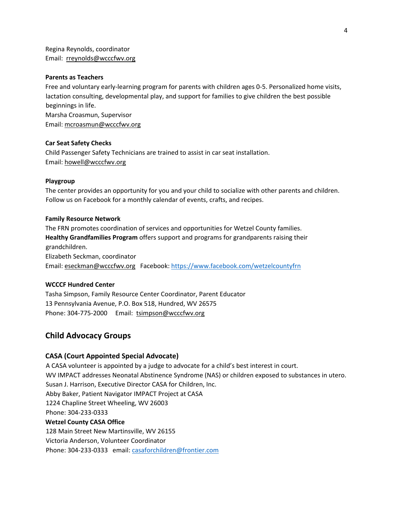Regina Reynolds, coordinator Email: rreynolds@wcccfwv.org

#### **Parents as Teachers**

Free and voluntary early-learning program for parents with children ages 0-5. Personalized home visits, lactation consulting, developmental play, and support for families to give children the best possible beginnings in life. Marsha Croasmun, Supervisor Email: mcroasmun@wcccfwv.org

#### **Car Seat Safety Checks**

Child Passenger Safety Technicians are trained to assist in car seat installation. Email: howell@wcccfwv.org

#### **Playgroup**

The center provides an opportunity for you and your child to socialize with other parents and children. Follow us on Facebook for a monthly calendar of events, crafts, and recipes.

#### **Family Resource Network**

The FRN promotes coordination of services and opportunities for Wetzel County families. **Healthy Grandfamilies Program** offers support and programs for grandparents raising their grandchildren. Elizabeth Seckman, coordinator Email: eseckman@wcccfwv.org Facebook:<https://www.facebook.com/wetzelcountyfrn>

#### **WCCCF Hundred Center**

Tasha Simpson, Family Resource Center Coordinator, Parent Educator 13 Pennsylvania Avenue, P.O. Box 518, Hundred, WV 26575 Phone: 304-775-2000 Email: tsimpson@wcccfwv.org

#### **Child Advocacy Groups**

#### **CASA (Court Appointed Special Advocate)**

A CASA volunteer is appointed by a judge to advocate for a child's best interest in court. WV IMPACT addresses Neonatal Abstinence Syndrome (NAS) or children exposed to substances in utero. Susan J. Harrison, Executive Director CASA for Children, Inc. Abby Baker, Patient Navigator IMPACT Project at CASA 1224 Chapline Street Wheeling, WV 26003 Phone: 304-233-0333 **Wetzel County CASA Office**  128 Main Street New Martinsville, WV 26155 Victoria Anderson, Volunteer Coordinator

Phone: 304-233-0333 email: casaforchildren@frontier.com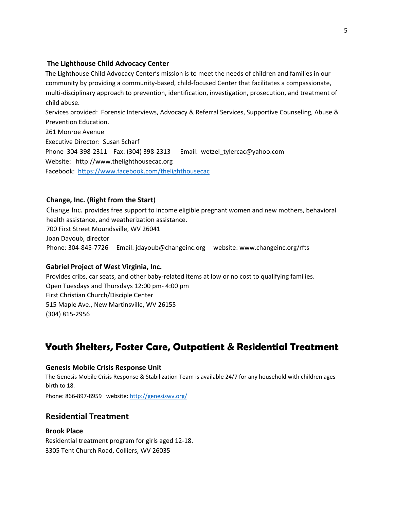### **[T](https://www.facebook.com/thelighthousecac)he Lighthouse Child Advocacy Center**

The Lighthouse Child Advocacy Center's mission is to meet the needs of children and families in our community by providing a community-based, child-focused Center that facilitates a compassionate, multi-disciplinary approach to prevention, identification, investigation, prosecution, and treatment of child abuse.

Services provided: Forensic Interviews, Advocacy & Referral Services, Supportive Counseling, Abuse & Prevention Education.

261 Monroe Avenue Executive Director: Susan Scharf Phone 304-398-2311 Fax: (304) 398-2313 Email: wetzel\_tylercac@yahoo.com Website: http://www.thelighthousecac.org Facebook: <https://www.facebook.com/thelighthousecac>

## **Change, Inc. (Right from the Start**)

Change Inc. provides free support to income eligible pregnant women and new mothers, behavioral health assistance, and weatherization assistance. 700 First Street Moundsville, WV 26041 Joan Dayoub, director Phone: 304-845-7726 Email: jdayoub@changeinc.org website: www.changeinc.org/rfts

## **Gabriel Project of West Virginia, Inc.**

Provides cribs, car seats, and other baby-related items at low or no cost to qualifying families. Open Tuesdays and Thursdays 12:00 pm- 4:00 pm First Christian Church/Disciple Center 515 Maple Ave., New Martinsville, WV 26155 (304) 815-2956

# **Youth Shelters, Foster Care, Outpatient & Residential Treatment**

## **Genesis Mobile Crisis Response Unit**

The Genesis Mobile Crisis Response & Stabilization Team is available 24/7 for any household with children ages birth to 18.

Phone: 866-897-8959 websit[e: http://genesiswv.org/](http://genesiswv.org/)

## **Residential Treatment**

## **Brook Place**

Residential treatment program for girls aged 12-18. 3305 Tent Church Road, Colliers, WV 26035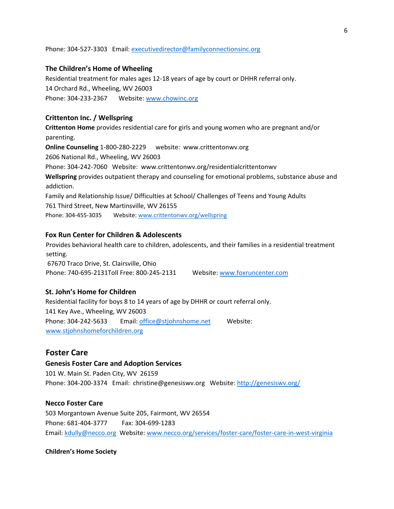#### Phone: 304-527-3303 Email: executivedirector@familyconnectionsinc.org

#### **The Children's Home of Wheeling**

Residential treatment for males ages 12-18 years of age by court or DHHR referral only. 14 Orchard Rd., Wheeling, WV 26003 Phone: 304-233-2367 Website: [www.chowinc.org](http://www.chowinc.org/)

#### **Crittenton Inc. / Wellspring**

**Crittenton Home** provides residential care for girls and young women who are pregnant and/or parenting.

**Online Counseling** 1-800-280-2229 website: www.crittentonwv.org 2606 National Rd., Wheeling, WV 26003 Phone: 304-242-7060 Website: www.crittentonwv.org/residentialcrittentonwv **Wellspring** provides outpatient therapy and counseling for emotional problems, substance abuse and addiction. Family and Relationship Issue/ Difficulties at School/ Challenges of Teens and Young Adults 761 Third Street, New Martinsville, WV 26155

Phone: 304-455-3035 Website: [www.crittentonwv.org/wellspring](http://www.crittentonwv.org/wellspring)

### **Fox Run Center for Children & Adolescents**

Provides behavioral health care to children, adolescents, and their families in a residential treatment setting. 67670 Traco Drive, St. Clairsville, Ohio

Phone: 740-695-2131Toll Free: 800-245-2131 Websit[e: www.foxruncenter.com](http://www.foxruncenter.com/)

#### **St. John's Home for Children**

Residential facility for boys 8 to 14 years of age by DHHR or court referral only. 141 Key Ave., Wheeling, WV 26003 Phone: 304-242-5633 Email: office@stjohnshome.net Websit[e:](http://www.stjohnshomeforchildren.org/)  [www.stjohnshomeforchildren.org](http://www.stjohnshomeforchildren.org/)

#### **Foster Care**

#### **Genesis Foster Care and Adoption Services**

101 W. Main St. Paden City, WV 26159 Phone: 304-200-3374 Email: christine@genesiswv.org Website[: http://genesiswv.org/](http://genesiswv.org/)

#### **Necco Foster Care**

503 Morgantown Avenue Suite 205, Fairmont, WV 26554 Phone: 681-404-3777 Fax: 304-699-1283 Email: kdully@necco.org Website: [www.necco.org/services/foster-care/foster-care-in-west-virginia](http://www.necco.org/services/foster-care/foster-care-in-west-virginia)

#### **Children's Home Society**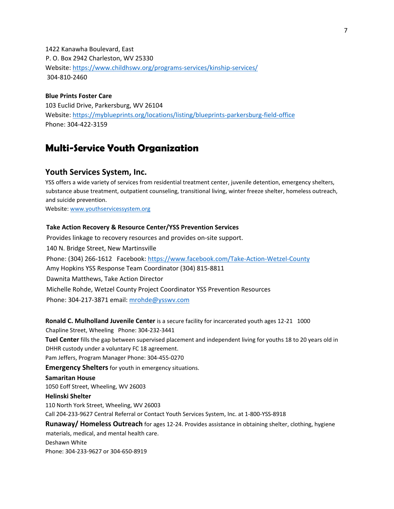1422 Kanawha Boulevard, East P. O. Box 2942 Charleston, WV 25330 Website:<https://www.childhswv.org/programs-services/kinship-services/> 304-810-2460

#### **Blue Prints Foster Care**

103 Euclid Drive, Parkersburg, WV 26104 Website:<https://myblueprints.org/locations/listing/blueprints-parkersburg-field-office> Phone: 304-422-3159

## **Multi-Service Youth Organization**

### **Youth Services System, Inc.**

YSS offers a wide variety of services from residential treatment center, juvenile detention, emergency shelters, substance abuse treatment, outpatient counseling, transitional living, winter freeze shelter, homeless outreach, and suicide prevention.

Website: [www.youthservicessystem.org](http://www.youthservicessystem.org/)

#### **Take Action Recovery & Resource Center/YSS Prevention Services**

Provides linkage to recovery resources and provides on-site support. 140 N. Bridge Street, New Martinsville Phone: (304) 266-1612 Facebook:<https://www.facebook.com/Take-Action-Wetzel-County> Amy Hopkins YSS Response Team Coordinator (304) 815-8811 Dawnita Matthews, Take Action Director Michelle Rohde, Wetzel County Project Coordinator YSS Prevention Resources Phone: 304-217-3871 email: [mrohde@ysswv.com](mailto:mrohde@ysswv.com)

**Ronald C. Mulholland Juvenile Center** is a secure facility for incarcerated youth ages 12-21 1000

Chapline Street, Wheeling Phone: 304-232-3441

**Tuel Center** fills the gap between supervised placement and independent living for youths 18 to 20 years old in DHHR custody under a voluntary FC 18 agreement.

Pam Jeffers, Program Manager Phone: 304-455-0270

**Emergency Shelters** for youth in emergency situations.

#### **Samaritan House**

1050 Eoff Street, Wheeling, WV 26003

#### **Helinski Shelter**

110 North York Street, Wheeling, WV 26003

Call 204-233-9627 Central Referral or Contact Youth Services System, Inc. at 1-800-YSS-8918

**Runaway/ Homeless Outreach** for ages 12-24. Provides assistance in obtaining shelter, clothing, hygiene

materials, medical, and mental health care. Deshawn White Phone: 304-233-9627 or 304-650-8919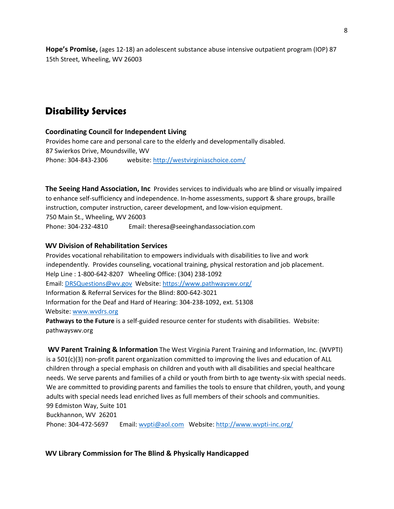**Hope's Promise,** (ages 12-18) an adolescent substance abuse intensive outpatient program (IOP) 87 15th Street, Wheeling, WV 26003

# **Disability Services**

### **Coordinating Council for Independent Living**

Provides home care and personal care to the elderly and developmentally disabled. 87 Swierkos Drive, Moundsville, WV Phone: 304-843-2306 website:<http://westvirginiaschoice.com/>

**The Seeing Hand Association, Inc** Provides services to individuals who are blind or visually impaired to enhance self-sufficiency and independence. In-home assessments, support & share groups, braille instruction, computer instruction, career development, and low-vision equipment. 750 Main St., Wheeling, WV 26003 Phone: 304-232-4810 Email: theresa@seeinghandassociation.com

### **WV Division of Rehabilitation Services**

Provides vocational rehabilitation to empowers individuals with disabilities to live and work independently. Provides counseling, vocational training, physical restoration and job placement. Help Line : 1-800-642-8207 Wheeling Office: (304) 238-1092 Email: [DRSQuestions@wv.gov](mailto:DRSQuestions@wv.gov) Website:<https://www.pathwayswv.org/> Information & Referral Services for the Blind: 800-642-3021 Information for the Deaf and Hard of Hearing: 304-238-1092, ext. 51308 Website: [www.wvdrs.org](http://www.wvdrs.org/) 

**Pathways to the Future** is a self-guided resource center for students with disabilities. Website: pathwayswv.org

**WV Parent Training & Information** The West Virginia Parent Training and Information, Inc. (WVPTI) is a 501(c)(3) non-profit parent organization committed to improving the lives and education of ALL children through a special emphasis on children and youth with all disabilities and special healthcare needs. We serve parents and families of a child or youth from birth to age twenty-six with special needs. We are committed to providing parents and families the tools to ensure that children, youth, and young adults with special needs lead enriched lives as full members of their schools and communities. 99 Edmiston Way, Suite 101 Buckhannon, WV 26201 Phone: 304-472-5697 Email: [wvpti@aol.com](https://webmail.suddenlink.net/do/mail/message/mailto?to=wvpti%40aol.com) Website: [http://www.wvpti-inc.org/](https://webmail.suddenlink.net/do/redirect?url=http%253A%252F%252Fwww.wvpti-inc.org%252F&hmac=4a0e23c3631d2dafe78d1e01e23f0e98)

## **WV Library Commission for The Blind & Physically Handicapped**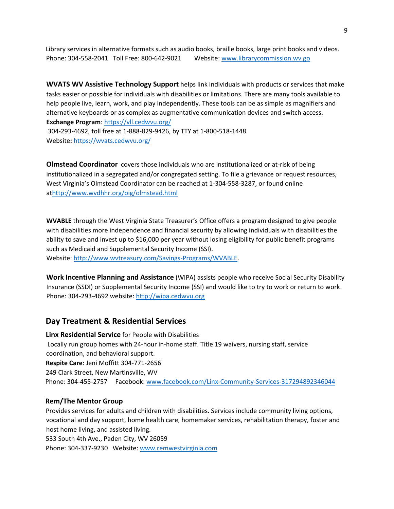Library services in alternative formats such as audio books, braille books, large print books and videos. Phone: 304-558-2041 Toll Free: 800-642-9021 Websit[e: www.librarycommission.wv.go](http://www.librarycommission.wv.go/) 

**WVATS WV Assistive Technology Support** helps link individuals with products or services that make tasks easier or possible for individuals with disabilities or limitations. There are many tools available to help people live, learn, work, and play independently. These tools can be as simple as magnifiers and alternative keyboards or as complex as augmentative communication devices and switch access. **Exchange Program**:<https://vll.cedwvu.org/>

304-293-4692, toll free at 1-888-829-9426, by TTY at 1-800-518-1448 Website**:** <https://wvats.cedwvu.org/>

**Olmstead Coordinator** covers those individuals who are institutionalized or at-risk of being institutionalized in a segregated and/or congregated setting. To file a grievance or request resources, West Virginia's Olmstead Coordinator can be reached at 1-304-558-3287, or found online a[thttp://www.wvdhhr.org/oig/olmstead.html](https://webmail.suddenlink.net/do/redirect?url=http%253A%252F%252Fwww.wvdhhr.org%252Foig%252Folmstead.html&hmac=a5c452bdce04d1eb6a52e61379e06460)

**WVABLE** through the West Virginia State Treasurer's Office offers a program designed to give people with disabilities more independence and financial security by allowing individuals with disabilities the ability to save and invest up to \$16,000 per year without losing eligibility for public benefit programs such as Medicaid and Supplemental Security Income (SSI). Website: [http://www.wvtreasury.com/Savings-Programs/WVABLE.](https://webmail.suddenlink.net/do/redirect?url=http%253A%252F%252Fwww.wvtreasury.com%252FSavings-Programs%252FWVABLE&hmac=487d4364c58aa7ec0eac48ca317a76b4)

**Work Incentive Planning and Assistance** (WIPA) assists people who receive Social Security Disability Insurance (SSDI) or Supplemental Security Income (SSI) and would like to try to work or return to work. Phone: 304-293-4692 website: [http://wipa.cedwvu.org](https://webmail.suddenlink.net/do/redirect?url=http%253A%252F%252Fwipa.cedwvu.org&hmac=318e64d9ea563832851def1707d8e31b)

## **Day Treatment & Residential Services**

**Linx Residential Service** for People with Disabilities Locally run group homes with 24-hour in-home staff. Title 19 waivers, nursing staff, service coordination, and behavioral support. **Respite Care**: Jeni Moffitt 304-771-2656 249 Clark Street, New Martinsville, WV Phone: 304-455-2757 Facebook[: www.facebook.com/Linx-Community-Services-317294892346044](http://www.facebook.com/Linx-Community-Services-317294892346044)

## **Rem/The Mentor Group**

Provides services for adults and children with disabilities. Services include community living options, vocational and day support, home health care, homemaker services, rehabilitation therapy, foster and host home living, and assisted living.

533 South 4th Ave., Paden City, WV 26059 Phone: 304-337-9230 Website[: www.remwestvirginia.com](http://www.remwestvirginia.com/)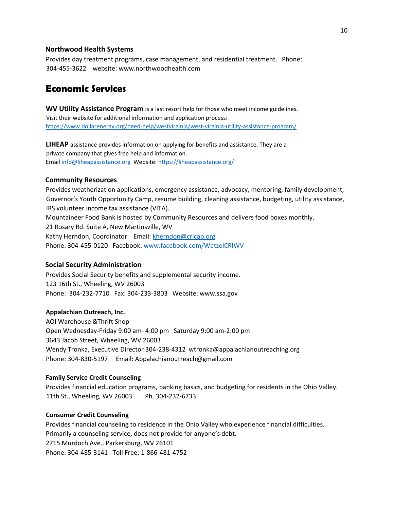#### **Northwood Health Systems**

Provides day treatment programs, case management, and residential treatment. Phone: 304-455-3622 website: www.northwoodhealth.com

## **Economic Services**

**WV Utility Assistance Program** is a last resort help for those who meet income guidelines. Visit their website for additional information and application process: <https://www.dollarenergy.org/need-help/westvirginia/west-virginia-utility-assistance-program/>

**LIHEAP** assistance provides information on applying for benefits and assistance. They are a private company that gives free help and information. Email [info@liheapassistance.org](mailto:info@liheapassistance.org) Website:<https://liheapassistance.org/>

#### **Community Resources**

Provides weatherization applications, emergency assistance, advocacy, mentoring, family development, Governor's Youth Opportunity Camp, resume building, cleaning assistance, budgeting, utility assistance, IRS volunteer income tax assistance (VITA). Mountaineer Food Bank is hosted by Community Resources and delivers food boxes monthly. 21 Rosary Rd. Suite A, New Martinsville, WV Kathy Herndon, Coordinator Email: [kherndon@cricap.org](mailto:kherndon@cricap.org) Phone: 304-455-0120 Facebook: [www.facebook.com/WetzelCRIWV](http://www.facebook.com/WetzelCRIWV)

#### **Social Security Administration**

Provides Social Security benefits and supplemental security income. 123 16th St., Wheeling, WV 26003 Phone: 304-232-7710 Fax: 304-233-3803 Website: www.ssa.gov

#### **Appalachian Outreach, Inc.**

AOI Warehouse &Thrift Shop Open Wednesday-Friday 9:00 am- 4:00 pm Saturday 9:00 am-2:00 pm 3643 Jacob Street, Wheeling, WV 26003 Wendy Tronka, Executive Director 304-238-4312 wtronka@appalachianoutreaching.org Phone: 304-830-5197 Email: Appalachianoutreach@gmail.com

#### **Family Service Credit Counseling**

Provides financial education programs, banking basics, and budgeting for residents in the Ohio Valley. 11th St., Wheeling, WV 26003 Ph. 304-232-6733

#### **Consumer Credit Counseling**

Provides financial counseling to residence in the Ohio Valley who experience financial difficulties. Primarily a counseling service, does not provide for anyone's debt. 2715 Murdoch Ave., Parkersburg, WV 26101 Phone: 304-485-3141 Toll Free: 1-866-481-4752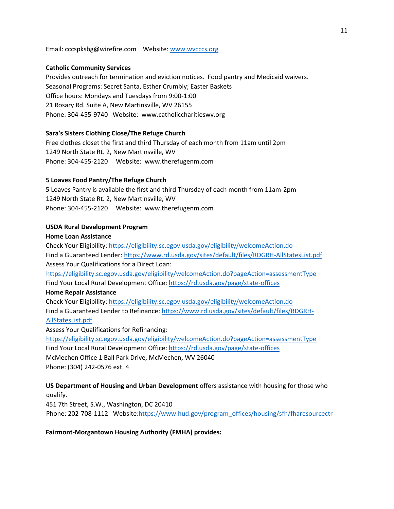Email: cccspksbg@wirefire.com Website: [www.wvcccs.org](http://www.wvcccs.org/)

#### **Catholic Community Services**

Provides outreach for termination and eviction notices. Food pantry and Medicaid waivers. Seasonal Programs: Secret Santa, Esther Crumbly; Easter Baskets Office hours: Mondays and Tuesdays from 9:00-1:00 21 Rosary Rd. Suite A, New Martinsville, WV 26155 Phone: 304-455-9740 Website: www.catholiccharitieswv.org

#### **Sara's Sisters Clothing Close/The Refuge Church**

Free clothes closet the first and third Thursday of each month from 11am until 2pm 1249 North State Rt. 2, New Martinsville, WV Phone: 304-455-2120 Website: www.therefugenm.com

#### **5 Loaves Food Pantry/The Refuge Church**

5 Loaves Pantry is available the first and third Thursday of each month from 11am-2pm 1249 North State Rt. 2, New Martinsville, WV Phone: 304-455-2120 Website: www.therefugenm.com

#### **USDA Rural Development Program**

#### **Home Loan Assistance**

Check Your Eligibility:<https://eligibility.sc.egov.usda.gov/eligibility/welcomeAction.do> Find a Guaranteed Lender:<https://www.rd.usda.gov/sites/default/files/RDGRH-AllStatesList.pdf> Assess Your Qualifications for a Direct Loan: <https://eligibility.sc.egov.usda.gov/eligibility/welcomeAction.do?pageAction=assessmentType>

Find Your Local Rural Development Office:<https://rd.usda.gov/page/state-offices>

#### **Home Repair Assistance**

Check Your Eligibility:<https://eligibility.sc.egov.usda.gov/eligibility/welcomeAction.do> Find a Guaranteed Lender to Refinance: [https://www.rd.usda.gov/sites/default/files/RDGRH-](https://www.rd.usda.gov/sites/default/files/RDGRH-AllStatesList.pdf)[AllStatesList.pdf](https://www.rd.usda.gov/sites/default/files/RDGRH-AllStatesList.pdf)

Assess Your Qualifications for Refinancing:

<https://eligibility.sc.egov.usda.gov/eligibility/welcomeAction.do?pageAction=assessmentType> Find Your Local Rural Development Office:<https://rd.usda.gov/page/state-offices> McMechen Office 1 Ball Park Drive, McMechen, WV 26040 Phone: (304) 242-0576 ext. 4

**US Department of Housing and Urban Development** offers assistance with housing for those who qualify.

451 7th Street, S.W., Washington, DC 20410

Phone: 202-708-1112 Website[:https://www.hud.gov/program\\_offices/housing/sfh/fharesourcectr](https://www.hud.gov/program_offices/housing/sfh/fharesourcectr)

#### **Fairmont-Morgantown Housing Authority (FMHA) provides:**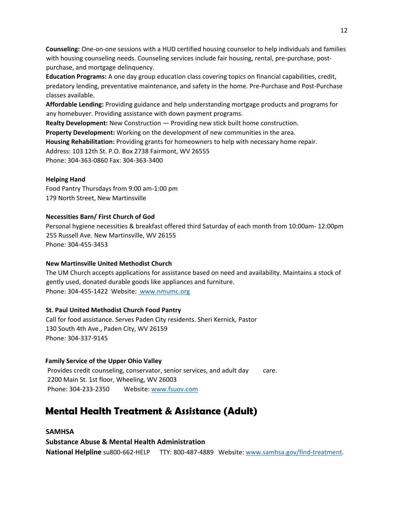**Counseling:** One-on-one sessions with a HUD certified housing counselor to help individuals and families with housing counseling needs. Counseling services include fair housing, rental, pre-purchase, postpurchase, and mortgage delinquency.

**Education Programs:** A one day group education class covering topics on financial capabilities, credit, predatory lending, preventative maintenance, and safety in the home. Pre-Purchase and Post-Purchase classes available.

**Affordable Lending:** Providing guidance and help understanding mortgage products and programs for any homebuyer. Providing assistance with down payment programs.

**Realty Development:** New Construction — Providing new stick built home construction.

**Property Development:** Working on the development of new communities in the area. **Housing Rehabilitation:** Providing grants for homeowners to help with necessary home repair. Address: 103 12th St. P.O. Box 2738 Fairmont, WV 26555 Phone: 304-363-0860 Fax: 304-363-3400

#### **Helping Hand**

Food Pantry Thursdays from 9:00 am-1:00 pm 179 North Street, New Martinsville

### **Necessities Barn/ First Church of God**

Personal hygiene necessities & breakfast offered third Saturday of each month from 10:00am- 12:00pm 255 Russell Ave. New Martinsville, WV 26155 Phone: 304-455-3453

#### **New Martinsville United Methodist Church**

The UM Church accepts applications for assistance based on need and availability. Maintains a stock of gently used, donated durable goods like appliances and furniture. Phone: 304-455-1422 Website: [www.nmumc.org](http://www.nmumc.org/) 

#### **St. Paul United Methodist Church Food Pantry**

Call for food assistance. Serves Paden City residents. Sheri Kernick, Pastor 130 South 4th Ave., Paden City, WV 26159 Phone: 304-337-9145

#### **Family Service of the Upper Ohio Valley**

Provides credit counseling, conservator, senior services, and adult day care. 2200 Main St. 1st floor, Wheeling, WV 26003 Phone: 304-233-2350 Website: www.fsuov.com

# **Mental Health Treatment & Assistance (Adult)**

**SAMHSA Substance Abuse & Mental Health Administration National Helpline** su800-662-HELP TTY: 800-487-4889 Website: [www.samhsa.gov/find-treatment.](http://www.samhsa.gov/find-treatment)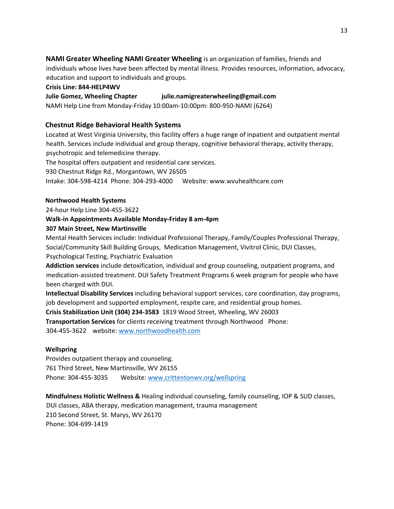**NAMI Greater Wheeling NAMI Greater Wheeling** is an organization of families, friends and

individuals whose lives have been affected by mental illness. Provides resources, information, advocacy, education and support to individuals and groups.

**Crisis Line: 844-HELP4WV**

**Julie Gomez, Wheeling Chapter julie.namigreaterwheeling@gmail.com**

NAMI Help Line from Monday-Friday 10:00am-10:00pm: 800-950-NAMI (6264)

## **Chestnut Ridge Behavioral Health Systems**

Located at West Virginia University, this facility offers a huge range of inpatient and outpatient mental health. Services include individual and group therapy, cognitive behavioral therapy, activity therapy, psychotropic and telemedicine therapy.

The hospital offers outpatient and residential care services.

930 Chestnut Ridge Rd., Morgantown, WV 26505

Intake: 304-598-4214 Phone: 304-293-4000 Website: www.wvuhealthcare.com

### **Northwood Health Systems**

24-hour Help Line 304-455-3622

## **Walk-in Appointments Available Monday-Friday 8 am-4pm**

### **307 Main Street, New Martinsville**

Mental Health Services include: Individual Professional Therapy, Family/Couples Professional Therapy, Social/Community Skill Building Groups, Medication Management, Vivitrol Clinic, DUI Classes, Psychological Testing, Psychiatric Evaluation

**Addiction services** include detoxification, individual and group counseling, outpatient programs, and medication-assisted treatment. DUI Safety Treatment Programs 6 week program for people who have been charged with DUI.

**Intellectual Disability Services** including behavioral support services, care coordination, day programs, job development and supported employment, respite care, and residential group homes.

**Crisis Stabilization Unit (304) 234-3583** 1819 Wood Street, Wheeling, WV 26003

**Transportation Services** for clients receiving treatment through Northwood Phone: 304-455-3622 website[: www.northwoodhealth.com](http://www.northwoodhealth.com/) 

## **Wellspring**

Provides outpatient therapy and counseling. 761 Third Street, New Martinsville, WV 26155 Phone: 304-455-3035 Website: [www.crittentonwv.org/wellspring](http://www.crittentonwv.org/wellspring)

**Mindfulness Holistic Wellness &** Healing individual counseling, family counseling, IOP & SUD classes, DUI classes, ABA therapy, medication management, trauma management 210 Second Street, St. Marys, WV 26170 Phone: 304-699-1419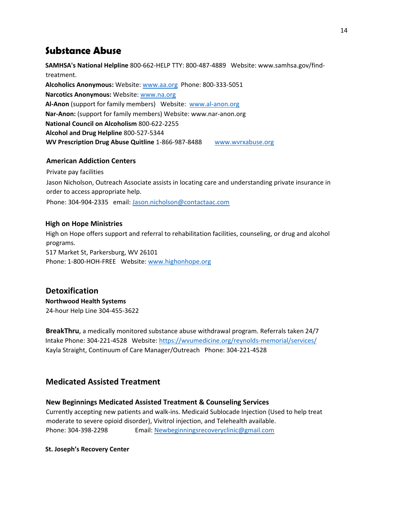# **Substance Abuse**

**SAMHSA's National Helpline** 800-662-HELP TTY: 800-487-4889 Website: www.samhsa.gov/findtreatment. **Alcoholics Anonymous:** Websit[e: www.aa.org P](http://www.aa.org/)hone: 800-333-5051 **Narcotics Anonymous:** Website: [www.na.org](http://www.na.org/)  **Al-Anon** (support for family members) Website: [www.al-anon.org](http://www.al-anon.org/) **Nar-Anon:** (support for family members) Website: www.nar-anon.org **National Council on Alcoholism** 800-622-2255 **Alcohol and Drug Helpline** 800-527-5344 **WV Prescription Drug Abuse Quitline** 1-866-987-8488 [www.wvrxabuse.org](http://www.wvrxabuse.org/)

## **American Addiction Centers**

Private pay facilities

Jason Nicholson, Outreach Associate assists in locating care and understanding private insurance in order to access appropriate help.

Phone: 304-904-2335 email: [Jason.nicholson@contactaac.com](mailto:Jason.nicholson@contactaac.com)

## **High on Hope Ministries**

High on Hope offers support and referral to rehabilitation facilities, counseling, or drug and alcohol programs. 517 Market St, Parkersburg, WV 26101 Phone: 1-800-HOH-FREE Website: [www.highonhope.org](http://www.highonhope.org/) 

## **Detoxification**

**Northwood Health Systems**  24-hour Help Line 304-455-3622

**BreakThru**, a medically monitored substance abuse withdrawal program. Referrals taken 24/7 Intake Phone: 304-221-4528 Website:<https://wvumedicine.org/reynolds-memorial/services/> Kayla Straight, Continuum of Care Manager/Outreach Phone: 304-221-4528

## **Medicated Assisted Treatment**

## **New Beginnings Medicated Assisted Treatment & Counseling Services**

Currently accepting new patients and walk-ins. Medicaid Sublocade Injection (Used to help treat moderate to severe opioid disorder), Vivitrol injection, and Telehealth available. Phone: 304-398-2298 Email: [Newbeginningsrecoveryclinic@gmail.com](mailto:Newbeginningsrecoveryclinic@gmail.com)

## **St. Joseph's Recovery Center**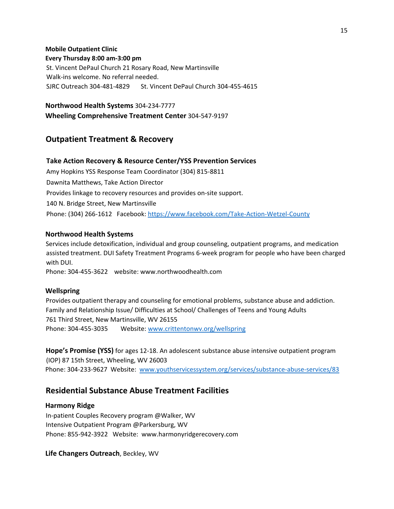### **Mobile Outpatient Clinic**

#### **Every Thursday 8:00 am-3:00 pm**

St. Vincent DePaul Church 21 Rosary Road, New Martinsville Walk-ins welcome. No referral needed. SJRC Outreach 304-481-4829 St. Vincent DePaul Church 304-455-4615

#### **Northwood Health Systems** 304-234-7777

**Wheeling Comprehensive Treatment Center** 304-547-9197

## **Outpatient Treatment & Recovery**

#### **Take Action Recovery & Resource Center/YSS Prevention Services**

Amy Hopkins YSS Response Team Coordinator (304) 815-8811 Dawnita Matthews, Take Action Director Provides linkage to recovery resources and provides on-site support. 140 N. Bridge Street, New Martinsville Phone: (304) 266-1612 Facebook:<https://www.facebook.com/Take-Action-Wetzel-County>

#### **Northwood Health Systems**

Services include detoxification, individual and group counseling, outpatient programs, and medication assisted treatment. DUI Safety Treatment Programs 6-week program for people who have been charged with DUI.

Phone: 304-455-3622 website: www.northwoodhealth.com

#### **Wellspring**

Provides outpatient therapy and counseling for emotional problems, substance abuse and addiction. Family and Relationship Issue/ Difficulties at School/ Challenges of Teens and Young Adults 761 Third Street, New Martinsville, WV 26155 Phone: 304-455-3035 Website: [www.crittentonwv.org/wellspring](http://www.crittentonwv.org/wellspring)

**Hope's Promise (YSS)** for ages 12-18. An adolescent substance abuse intensive outpatient program (IOP) 87 15th Street, Wheeling, WV 26003 Phone: 304-233-9627 Website: [www.youthservicessystem.org/services/substance-abuse-services/83](http://www.youthservicessystem.org/services/substance-abuse-services/83)

## **Residential Substance Abuse Treatment Facilities**

#### **Harmony Ridge**

In-patient Couples Recovery program @Walker, WV Intensive Outpatient Program @Parkersburg, WV Phone: 855-942-3922 Website: www.harmonyridgerecovery.com

**Life Changers Outreach**, Beckley, WV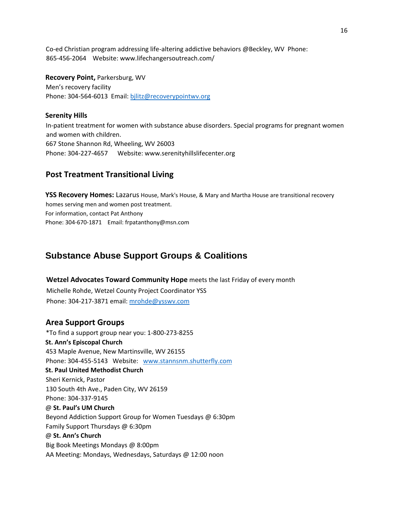Co-ed Christian program addressing life-altering addictive behaviors @Beckley, WV Phone: 865-456-2064 Website: www.lifechangersoutreach.com/

**Recovery Point,** Parkersburg, WV Men's recovery facility Phone: 304-564-6013 Email: bjlitz@recoverypointwv.org

### **Serenity Hills**

In-patient treatment for women with substance abuse disorders. Special programs for pregnant women and women with children. 667 Stone Shannon Rd, Wheeling, WV 26003 Phone: 304-227-4657 Website: www.serenityhillslifecenter.org

## **Post Treatment Transitional Living**

**YSS Recovery Homes:** Lazarus House, Mark's House, & Mary and Martha House are transitional recovery homes serving men and women post treatment. For information, contact Pat Anthony Phone: 304-670-1871 Email: frpatanthony@msn.com

# **Substance Abuse Support Groups & Coalitions**

**Wetzel Advocates Toward Community Hope** meets the last Friday of every month

Michelle Rohde, Wetzel County Project Coordinator YSS Phone: 304-217-3871 email: [mrohde@ysswv.com](mailto:mrohde@ysswv.com)

## **Area Support Groups**

\*To find a support group near you: 1-800-273-8255 **St. Ann's Episcopal Church**  453 Maple Avenue, New Martinsville, WV 26155 Phone: 304-455-5143 Website: [www.stannsnm.shutterfly.com](http://www.stannsnm.shutterfly.com/)  **St. Paul United Methodist Church**  Sheri Kernick, Pastor 130 South 4th Ave., Paden City, WV 26159 Phone: 304-337-9145 @ **St. Paul's UM Church** Beyond Addiction Support Group for Women Tuesdays @ 6:30pm Family Support Thursdays @ 6:30pm @ **St. Ann's Church** Big Book Meetings Mondays @ 8:00pm AA Meeting: Mondays, Wednesdays, Saturdays @ 12:00 noon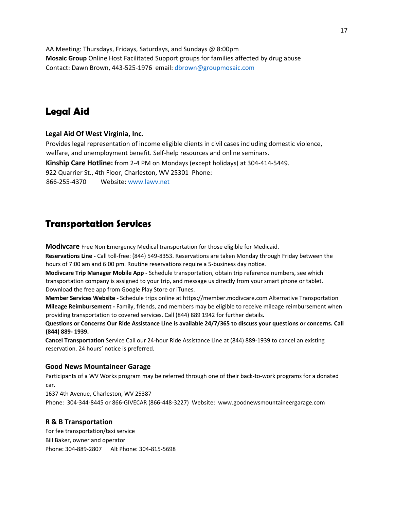AA Meeting: Thursdays, Fridays, Saturdays, and Sundays @ 8:00pm **Mosaic Group** Online Host Facilitated Support groups for families affected by drug abuse Contact: Dawn Brown, 443-525-1976 email: [dbrown@groupmosaic.com](mailto:dbrown@groupmosaic.com)

# **Legal Aid**

#### **Legal Aid Of West Virginia, Inc.**

Provides legal representation of income eligible clients in civil cases including domestic violence, welfare, and unemployment benefit. Self-help resources and online seminars. **Kinship Care Hotline:** from 2-4 PM on Mondays (except holidays) at 304-414-5449. 922 Quarrier St., 4th Floor, Charleston, WV 25301 Phone: 866-255-4370 Website: [www.lawv.net](http://www.lawv.net/)

# **Transportation Services**

**Modivcare** Free Non Emergency Medical transportation for those eligible for Medicaid.

**Reservations Line -** Call toll-free: (844) 549-8353. Reservations are taken Monday through Friday between the hours of 7:00 am and 6:00 pm. Routine reservations require a 5-business day notice.

**Modivcare Trip Manager Mobile App -** Schedule transportation, obtain trip reference numbers, see which transportation company is assigned to your trip, and message us directly from your smart phone or tablet. Download the free app from Google Play Store or iTunes.

**Member Services Website -** Schedule trips online at https://member.modivcare.com Alternative Transportation **Mileage Reimbursement -** Family, friends, and members may be eligible to receive mileage reimbursement when providing transportation to covered services. Call (844) 889 1942 for further details**.** 

**Questions or Concerns Our Ride Assistance Line is available 24/7/365 to discuss your questions or concerns. Call (844) 889- 1939.** 

**Cancel Transportation** Service Call our 24-hour Ride Assistance Line at (844) 889-1939 to cancel an existing reservation. 24 hours' notice is preferred.

#### **Good News Mountaineer Garage**

Participants of a WV Works program may be referred through one of their back-to-work programs for a donated car.

1637 4th Avenue, Charleston, WV 25387 Phone: 304-344-8445 or 866-GIVECAR (866-448-3227) Website: www.goodnewsmountaineergarage.com

## **R & B Transportation**

For fee transportation/taxi service Bill Baker, owner and operator Phone: 304-889-2807 Alt Phone: 304-815-5698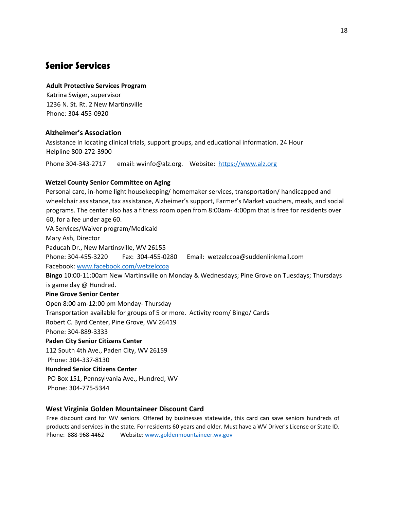# **Senior Services**

#### **Adult Protective Services Program**

Katrina Swiger, supervisor 1236 N. St. Rt. 2 New Martinsville Phone: 304-455-0920

## **Alzheimer's Association**

Assistance in locating clinical trials, support groups, and educational information. 24 Hour Helpline 800-272-3900

Phone 304-343-2717 email: wvinfo@alz.org. Website: [https://www.alz.org](https://www.alz.org/)

### **Wetzel County Senior Committee on Aging**

Personal care, in-home light housekeeping/ homemaker services, transportation/ handicapped and wheelchair assistance, tax assistance, Alzheimer's support, Farmer's Market vouchers, meals, and social programs. The center also has a fitness room open from 8:00am- 4:00pm that is free for residents over 60, for a fee under age 60. VA Services/Waiver program/Medicaid Mary Ash, Director Paducah Dr., New Martinsville, WV 26155 Phone: 304-455-3220 Fax: 304-455-0280 Email: wetzelccoa@suddenlinkmail.com Facebook: [www.facebook.com/wetzelccoa](http://www.facebook.com/wetzelccoa) **Bingo** 10:00-11:00am New Martinsville on Monday & Wednesdays; Pine Grove on Tuesdays; Thursdays is game day @ Hundred. **Pine Grove Senior Center**  Open 8:00 am-12:00 pm Monday- Thursday Transportation available for groups of 5 or more. Activity room/ Bingo/ Cards Robert C. Byrd Center, Pine Grove, WV 26419 Phone: 304-889-3333 **Paden City Senior Citizens Center** 112 South 4th Ave., Paden City, WV 26159 Phone: 304-337-8130 **Hundred Senior Citizens Center**  PO Box 151, Pennsylvania Ave., Hundred, WV

Phone: 304-775-5344

## **West Virginia Golden Mountaineer Discount Card**

Free discount card for WV seniors. Offered by businesses statewide, this card can save seniors hundreds of products and services in the state. For residents 60 years and older. Must have a WV Driver's License or State ID. Phone: 888-968-4462 Websit[e: www.goldenmountaineer.wv.gov](http://www.goldenmountaineer.wv.gov/)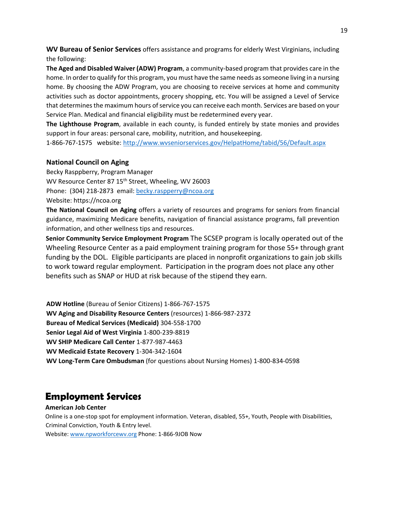**WV Bureau of Senior Services** offers assistance and programs for elderly West Virginians, including the following:

**The Aged and Disabled Waiver (ADW) Program**, a community-based program that provides care in the home. In order to qualify for this program, you must have the same needs as someone living in a nursing home. By choosing the ADW Program, you are choosing to receive services at home and community activities such as doctor appointments, grocery shopping, etc. You will be assigned a Level of Service that determines the maximum hours of service you can receive each month. Services are based on your Service Plan. Medical and financial eligibility must be redetermined every year.

**The Lighthouse Program**, available in each county, is funded entirely by state monies and provides support in four areas: personal care, mobility, nutrition, and housekeeping.

1-866-767-1575 website:<http://www.wvseniorservices.gov/HelpatHome/tabid/56/Default.aspx>

## **National Council on Aging**

Becky Rasppberry, Program Manager WV Resource Center 87 15<sup>th</sup> Street, Wheeling, WV 26003 Phone: (304) 218-2873 email[: becky.raspperry@ncoa.org](mailto:becky.raspperry@ncoa.org) Website: https://ncoa.org

**The National Council on Aging** offers a variety of resources and programs for seniors from financial guidance, maximizing Medicare benefits, navigation of financial assistance programs, fall prevention information, and other wellness tips and resources.

**Senior Community Service Employment Program** The SCSEP program is locally operated out of the Wheeling Resource Center as a paid employment training program for those 55+ through grant funding by the DOL. Eligible participants are placed in nonprofit organizations to gain job skills to work toward regular employment. Participation in the program does not place any other benefits such as SNAP or HUD at risk because of the stipend they earn.

**ADW Hotline** (Bureau of Senior Citizens) 1-866-767-1575 **WV Aging and Disability Resource Centers** (resources) 1-866-987-2372 **Bureau of Medical Services (Medicaid)** 304-558-1700 **Senior Legal Aid of West Virginia** 1-800-239-8819 **WV SHIP Medicare Call Center** 1-877-987-4463 **WV Medicaid Estate Recovery** 1-304-342-1604 **WV Long-Term Care Ombudsman** (for questions about Nursing Homes) 1-800-834-0598

# **Employment Services**

#### **American Job Center**

Online is a one-stop spot for employment information. Veteran, disabled, 55+, Youth, People with Disabilities, Criminal Conviction, Youth & Entry level.

Website: [www.npworkforcewv.org](http://www.npworkforcewv.org/) Phone: 1-866-9JOB Now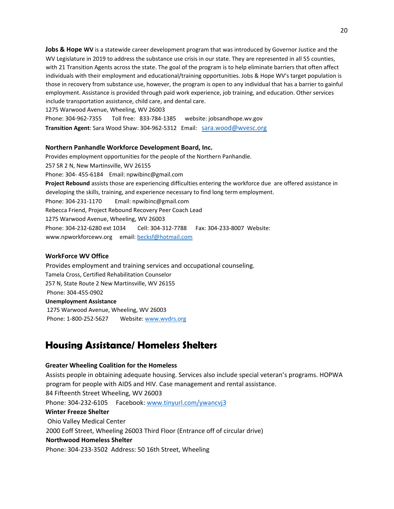**Jobs & Hope WV** is a statewide career development program that was introduced by Governor Justice and the WV Legislature in 2019 to address the substance use crisis in our state. They are represented in all 55 counties, with 21 Transition Agents across the state. The goal of the program is to help eliminate barriers that often affect individuals with their employment and educational/training opportunities. Jobs & Hope WV's target population is those in recovery from substance use, however, the program is open to any individual that has a barrier to gainful employment. Assistance is provided through paid work experience, job training, and education. Other services include transportation assistance, child care, and dental care.

1275 Warwood Avenue, Wheeling, WV 26003

Phone: 304-962-7355 Toll free: 833-784-1385 website: jobsandhope.wv.gov **Transition Agent**: Sara Wood Shaw: 304-962-5312 Email: [sara.wood@wvesc.org](javascript:document.composeForm.ids.value=)

#### **Northern Panhandle Workforce Development Board, Inc.**

Provides employment opportunities for the people of the Northern Panhandle. 257 SR 2 N, New Martinsville, WV 26155 Phone: 304- 455-6184 Email: npwibinc@gmail.com **Project Rebound** assists those are experiencing difficulties entering the workforce due are offered assistance in developing the skills, training, and experience necessary to find long term employment. Phone: 304-231-1170 Email: npwibinc@gmail.com Rebecca Friend, Project Rebound Recovery Peer Coach Lead 1275 Warwood Avenue, Wheeling, WV 26003 Phone: 304-232-6280 ext 1034 Cell: 304-312-7788 Fax: 304-233-8007 Website: www.npworkforcewv.org email: becksf@hotmail.com

#### **WorkForce WV Office**

Provides employment and training services and occupational counseling. Tamela Cross, Certified Rehabilitation Counselor 257 N, State Route 2 New Martinsville, WV 26155 Phone: 304-455-0902 **Unemployment Assistance**  1275 Warwood Avenue, Wheeling, WV 26003 Phone: 1-800-252-5627 Website[: www.wvdrs.org](http://www.wvdrs.org/)

## **Housing Assistance/ Homeless Shelters**

#### **Greater Wheeling Coalition for the Homeless**

Assists people in obtaining adequate housing. Services also include special veteran's programs. HOPWA program for people with AIDS and HIV. Case management and rental assistance. 84 Fifteenth Street Wheeling, WV 26003 Phone: 304-232-6105 Facebook: [www.tinyurl.com/ywancvj3](http://www.tinyurl.com/ywancvj3) **Winter Freeze Shelter**  Ohio Valley Medical Center 2000 Eoff Street, Wheeling 26003 Third Floor (Entrance off of circular drive) **Northwood Homeless Shelter**  Phone: 304-233-3502 Address: 50 16th Street, Wheeling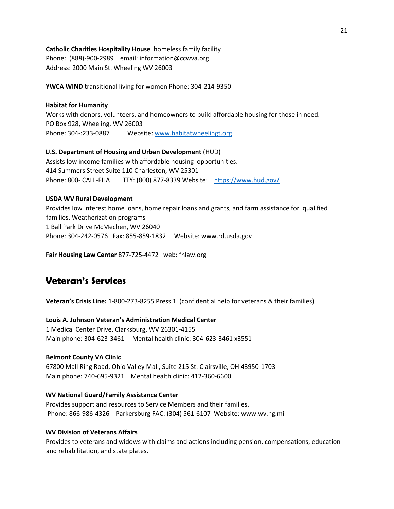**Catholic Charities Hospitality House** homeless family facility

Phone: (888)-900-2989 email: information@ccwva.org Address: 2000 Main St. Wheeling WV 26003

**YWCA WIND** transitional living for women Phone: 304-214-9350

#### **Habitat for Humanity**

Works with donors, volunteers, and homeowners to build affordable housing for those in need. PO Box 928, Wheeling, WV 26003 Phone: 304-:233-0887 Website: [www.habitatwheelingt.org](http://www.habitatwheelingt.org/) 

#### **U.S. Department of Housing and Urban Development** (HUD)

Assists low income families with affordable housing opportunities. 414 Summers Street Suite 110 Charleston, WV 25301 Phone: 800- CALL-FHA TTY: (800) 877-8339 Website: <https://www.hud.gov/>

#### **USDA WV Rural Development**

Provides low interest home loans, home repair loans and grants, and farm assistance for qualified families. Weatherization programs 1 Ball Park Drive McMechen, WV 26040 Phone: 304-242-0576 Fax: 855-859-1832 Website: www.rd.usda.gov

**Fair Housing Law Center** 877-725-4472 web: fhlaw.org

# **Veteran's Services**

**Veteran's Crisis Line:** 1-800-273-8255 Press 1 (confidential help for veterans & their families)

#### **Louis A. Johnson Veteran's Administration Medical Center**

1 Medical Center Drive, Clarksburg, WV 26301-4155 Main phone: 304-623-3461 Mental health clinic: 304-623-3461 x3551

#### **Belmont County VA Clinic**

67800 Mall Ring Road, Ohio Valley Mall, Suite 215 St. Clairsville, OH 43950-1703 Main phone: 740-695-9321 Mental health clinic: 412-360-6600

#### **WV National Guard/Family Assistance Center**

Provides support and resources to Service Members and their families. Phone: 866-986-4326 Parkersburg FAC: (304) 561-6107 Website: www.wv.ng.mil

#### **WV Division of Veterans Affairs**

Provides to veterans and widows with claims and actions including pension, compensations, education and rehabilitation, and state plates.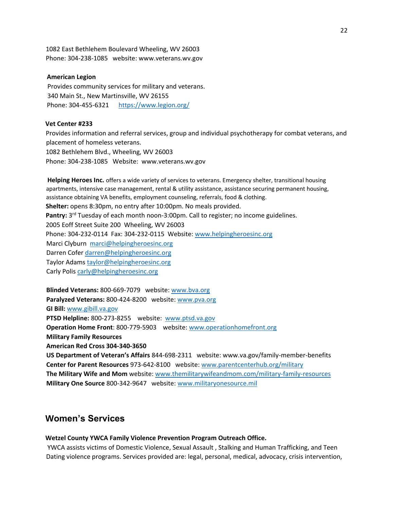1082 East Bethlehem Boulevard Wheeling, WV 26003 Phone: 304-238-1085 website: www.veterans.wv.gov

#### **American Legion**

Provides community services for military and veterans. 340 Main St., New Martinsville, WV 26155 Phone: 304-455-6321 <https://www.legion.org/>

#### **Vet Center #233**

Provides information and referral services, group and individual psychotherapy for combat veterans, and placement of homeless veterans.

1082 Bethlehem Blvd., Wheeling, WV 26003 Phone: 304-238-1085 Website: www.veterans.wv.gov

**Helping Heroes Inc.** offers a wide variety of services to veterans. Emergency shelter, transitional housing apartments, intensive case management, rental & utility assistance, assistance securing permanent housing, assistance obtaining VA benefits, employment counseling, referrals, food & clothing. **Shelter:** opens 8:30pm, no entry after 10:00pm. No meals provided. Pantry: 3<sup>rd</sup> Tuesday of each month noon-3:00pm. Call to register; no income guidelines. 2005 Eoff Street Suite 200 Wheeling, WV 26003 Phone: 304-232-0114 Fax: 304-232-0115 Website: [www.helpingheroesinc.org](https://webmail.suddenlink.net/do/redirect?url=http%253A%252F%252Fwww.helpingheroesinc.org&hmac=3b8a56d1ef43f46028daffe0c330b0ce) Marci Clyburn [marci@helpingheroesinc.org](https://webmail.suddenlink.net/do/mail/message/mailto?to=marci%40helpingheroesinc.org) Darren Cofer [darren@helpingheroesinc.org](https://webmail.suddenlink.net/do/mail/message/mailto?to=darren%40helpingheroesinc.org) Taylor Adams [taylor@helpingheroesinc.org](https://webmail.suddenlink.net/do/mail/message/mailto?to=taylor%40helpingheroesinc.org) Carly Polis [carly@helpingheroesinc.org](https://webmail.suddenlink.net/do/mail/message/mailto?to=carly%40helpingheroesinc.org)

**Blinded Veterans:** 800-669-7079 website: [www.bva.org](http://www.bva.org/) **Paralyzed Veterans:** 800-424-8200 website: [www.pva.org](http://www.pva.org/) **GI Bill:** [www.gibill.va.gov](http://www.gibill.va.gov/) **PTSD Helpline:** 800-273-8255 website: [www.ptsd.va.gov](http://www.ptsd.va.gov/) **Operation Home Front**: 800-779-5903 website: [www.operationhomefront.org](http://www.operationhomefront.org/) **Military Family Resources American Red Cross 304-340-3650 US Department of Veteran's Affairs** 844-698-2311 website: www.va.gov/family-member-benefits **Center for Parent Resources** 973-642-8100 website: [www.parentcenterhub.org/military](http://www.parentcenterhub.org/military)

**The Military Wife and Mom** website: [www.themilitarywifeandmom.com/military-family-resources](http://www.themilitarywifeandmom.com/military-family-resources) **Military One Source** 800-342-9647 website: [www.militaryonesource.mil](http://www.militaryonesource.mil/)

## **Women's Services**

#### **Wetzel County YWCA Family Violence Prevention Program Outreach Office.**

YWCA assists victims of Domestic Violence, Sexual Assault , Stalking and Human Trafficking, and Teen Dating violence programs. Services provided are: legal, personal, medical, advocacy, crisis intervention,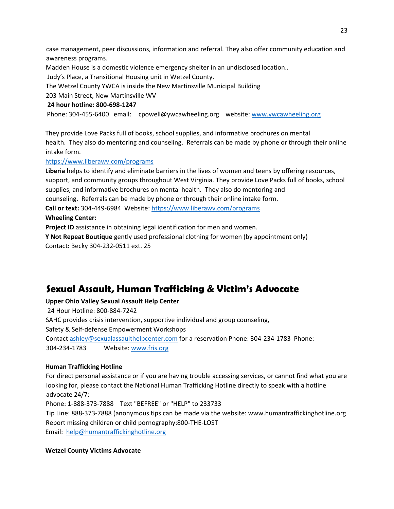case management, peer discussions, information and referral. They also offer community education and awareness programs.

Madden House is a domestic violence emergency shelter in an undisclosed location..

Judy's Place, a Transitional Housing unit in Wetzel County.

The Wetzel County YWCA is inside the New Martinsville Municipal Building

203 Main Street, New Martinsville WV

#### **24 hour hotline: 800-698-1247**

Phone: 304-455-6400 email: cpowell@ywcawheeling.org website: [www.ywcawheeling.org](http://www.ywcawheeling.org/) 

They provide Love Packs full of books, school supplies, and informative brochures on mental health. They also do mentoring and counseling. Referrals can be made by phone or through their online intake form.

#### [https://www.liberawv.com/programs](https://webmail.suddenlink.net/do/redirect?url=https%253A%252F%252Fwww.liberawv.com%252Fprograms&hmac=75076056dceec9b35d37388dfacea2f3)

**Liberia** helps to identify and eliminate barriers in the lives of women and teens by offering resources, support, and community groups throughout West Virginia. They provide Love Packs full of books, school supplies, and informative brochures on mental health. They also do mentoring and counseling. Referrals can be made by phone or through their online intake form.

**Call or text:** 304-449-6984 Website[: https://www.liberawv.com/programs](https://webmail.suddenlink.net/do/redirect?url=https%253A%252F%252Fwww.liberawv.com%252Fprograms&hmac=75076056dceec9b35d37388dfacea2f3)

#### **Wheeling Center:**

**Project ID** assistance in obtaining legal identification for men and women.

**Y Not Repeat Boutique** gently used professional clothing for women (by appointment only) Contact: Becky 304-232-0511 ext. 25

# **Sexual Assault, Human Trafficking & Victim's Advocate**

#### **Upper Ohio Valley Sexual Assault Help Center**

24 Hour Hotline: 800-884-7242 SAHC provides crisis intervention, supportive individual and group counseling, Safety & Self-defense Empowerment Workshops Contact ashley@sexualassaulthelpcenter.com for a reservation Phone: 304-234-1783 Phone: 304-234-1783 Website: [www.fris.org](http://www.fris.org/)

#### **Human Trafficking Hotline**

For direct personal assistance or if you are having trouble accessing services, or cannot find what you are looking for, please contact the National Human Trafficking Hotline directly to speak with a hotline advocate 24/7:

Phone: 1-888-373-7888 Text "BEFREE" or "HELP" to 233733

Tip Line: 888-373-7888 (anonymous tips can be made via the website: www.humantraffickinghotline.org Report missing children or child pornography:800-THE-LOST

Email: help@humantraffickinghotline.org

#### **Wetzel County Victims Advocate**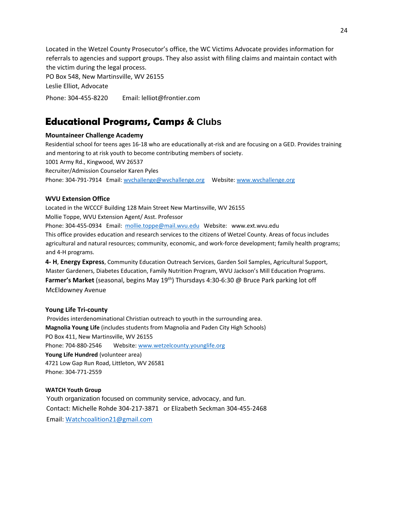Located in the Wetzel County Prosecutor's office, the WC Victims Advocate provides information for referrals to agencies and support groups. They also assist with filing claims and maintain contact with the victim during the legal process.

PO Box 548, New Martinsville, WV 26155

Leslie Elliot, Advocate

Phone: 304-455-8220 Email: lelliot@frontier.com

# **Educational Programs, Camps & Clubs**

#### **Mountaineer Challenge Academy**

Residential school for teens ages 16-18 who are educationally at-risk and are focusing on a GED. Provides training and mentoring to at risk youth to become contributing members of society. 1001 Army Rd., Kingwood, WV 26537 Recruiter/Admission Counselor Karen Pyles Phone: 304-791-7914 Email: wvchallenge@wvchallenge.org Website: [www.wvchallenge.org](http://www.wvchallenge.org/)

#### **WVU Extension Office**

Located in the WCCCF Building 128 Main Street New Martinsville, WV 26155 Mollie Toppe, WVU Extension Agent/ Asst. Professor Phone: 304-455-0934 Email: mollie.toppe@mail.wvu.edu Website: www.ext.wvu.edu This office provides education and research services to the citizens of Wetzel County. Areas of focus includes agricultural and natural resources; community, economic, and work-force development; family health programs; and 4-H programs.

**4- H**, **Energy Express**, Community Education Outreach Services, Garden Soil Samples, Agricultural Support, Master Gardeners, Diabetes Education, Family Nutrition Program, WVU Jackson's Mill Education Programs. **Farmer's Market** (seasonal, begins May 19th) Thursdays 4:30-6:30 @ Bruce Park parking lot off McEldowney Avenue

#### **Young Life Tri-county**

Provides interdenominational Christian outreach to youth in the surrounding area. **Magnolia Young Life** (includes students from Magnolia and Paden City High Schools) PO Box 411, New Martinsville, WV 26155 Phone: 704-880-2546 Website: [www.wetzelcounty.younglife.org](http://www.wetzelcounty.younglife.org/) **Young Life Hundred** (volunteer area) 4721 Low Gap Run Road, Littleton, WV 26581 Phone: 304-771-2559

#### **WATCH Youth Group**

Youth organization focused on community service, advocacy, and fun. Contact: Michelle Rohde 304-217-3871 or Elizabeth Seckman 304-455-2468 Email: [Watchcoalition21@gmail.com](mailto:Watchcoalition21@gmail.com)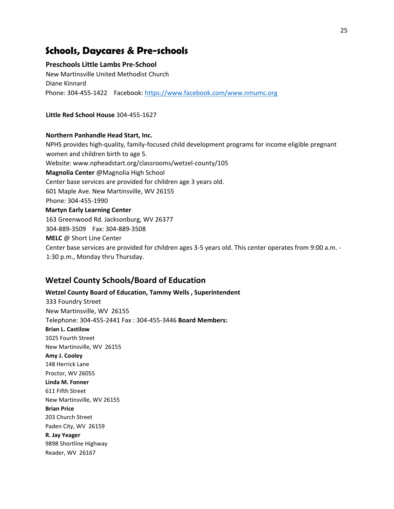## **Schools, Daycares & Pre-schools**

#### **Preschools Little Lambs Pre-School**

New Martinsville United Methodist Church Diane Kinnard Phone: 304-455-1422 Facebook:<https://www.facebook.com/www.nmumc.org>

**Little Red School House** 304-455-1627

#### **Northern Panhandle Head Start, Inc.**

NPHS provides high-quality, family-focused child development programs for income eligible pregnant women and children birth to age 5. Website: www.npheadstart.org/classrooms/wetzel-county/105 **Magnolia Center** @Magnolia High School Center base services are provided for children age 3 years old. 601 Maple Ave. New Martinsville, WV 26155 Phone: 304-455-1990 **Martyn Early Learning Center**  163 Greenwood Rd. Jacksonburg, WV 26377 304-889-3509 Fax: 304-889-3508 **MELC** @ Short Line Center Center base services are provided for children ages 3-5 years old. This center operates from 9:00 a.m. - 1:30 p.m., Monday thru Thursday.

## **Wetzel County Schools/Board of Education**

**Wetzel County Board of Education, Tammy Wells , Superintendent**  333 Foundry Street New Martinsville, WV 26155 Telephone: 304-455-2441 Fax : 304-455-3446 **Board Members: Brian L. Castilow**  1025 Fourth Street New Martinsville, WV 26155 **Amy J. Cooley**  148 Herrick Lane Proctor, WV 26055 **Linda M. Fonner**  611 Fifth Street New Martinsville, WV 26155 **Brian Price**  203 Church Street Paden City, WV 26159 **R. Jay Yeager**  9898 Shortline Highway Reader, WV 26167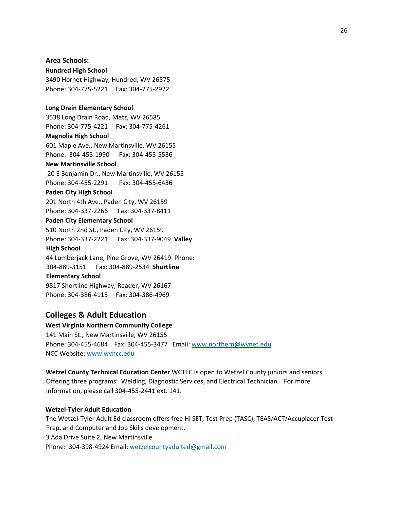**Hundred High School**  3490 Hornet Highway, Hundred, WV 26575 Phone: 304-775-5221 Fax: 304-775-2922

#### **Long Drain Elementary School**

**Area Schools:** 

3538 Long Drain Road, Metz, WV 26585 Phone: 304-775-4221 Fax: 304-775-4261 **Magnolia High School**  601 Maple Ave., New Martinsville, WV 26155

Phone: 304-455-1990 Fax: 304-455-5536

### **New Martinsville School**

20 E Benjamin Dr., New Martinsville, WV 26155 Phone: 304-455-2291 Fax: 304-455-6436

#### **Paden City High School**

201 North 4th Ave., Paden City, WV 26159 Phone: 304-337-2266 Fax: 304-337-8411

# **Paden City Elementary School**

510 North 2nd St., Paden City, WV 26159 Phone: 304-337-2221 Fax: 304-337-9049 **Valley High School**  44 Lumberjack Lane, Pine Grove, WV 26419 Phone: 304-889-3151 Fax: 304-889-2534 **Shortline Elementary School**  9817 Shortline Highway, Reader, WV 26167 Phone: 304-386-4115 Fax: 304-386-4969

#### **Colleges & Adult Education**

**West Virginia Northern Community College**  141 Main St., New Martinsville, WV 26155 Phone: 304-455-4684 Fax: 304-455-3477 Email: www.northern@wvnet.edu NCC Website: [www.wvncc.edu](http://www.wvncc.edu/)

**Wetzel County Technical Education Center** WCTEC is open to Wetzel County juniors and seniors. Offering three programs: Welding, Diagnostic Services, and Electrical Technician. For more information, please call 304-455-2441 ext. 141.

#### **Wetzel-Tyler Adult Educatio[n](https://l.facebook.com/l.php?u=https%3A%2F%2Fwww.google.com%2Fmaps%2Fdir%2F%3Fapi%3D1%26destination%3D39.68585%252C-80.8562%26fbclid%3DIwAR35gnicQ6wsHuZdeX9sJZV7xLENpZMTYmG-M6AIDOqTgFvSeTY3jJ_BslQ&h=AT0Rg3d1O5ylB0yJq1bcaCo6AFU6b1HQpzqoP-dvF23cC82duCG-rKieEZUFMXyJxJ9A-Pps5jBMLP4m1FBUkpFc-jQ0ejoaNbJlbVSocYQPN12YOzNTMS80JtsA21JdMnY)**

The Wetzel-Tyler Adult Ed classroom offers free Hi SET, Test Prep (TASC), TEAS/ACT/Accuplacer Test Prep, and Computer and Job Skills development. 3 Ada Drive Suite 2, New Martinsville Phone: 304-398-4924 Email: wetzelcountyadulted@gmail.com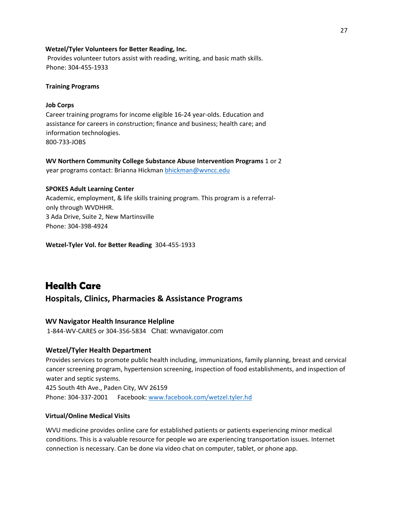#### **Wetzel/Tyler Volunteers for Better Reading, Inc.**

Provides volunteer tutors assist with reading, writing, and basic math skills. Phone: 304-455-1933

#### **Training Programs**

#### **Job Corps**

Career training programs for income eligible 16-24 year-olds. Education and assistance for careers in construction; finance and business; health care; and information technologies. 800-733-JOBS

**WV Northern Community College Substance Abuse Intervention Programs** 1 or 2 year programs contact: Brianna Hickman [bhickman@wvncc.edu](mailto:bhickman@wvncc.edu)

#### **SPOKES Adult Learning Center**

Academic, employment, & life skills training program. This program is a referralonly through WVDHHR. 3 Ada Drive, Suite 2, New Martinsville Phone: 304-398-4924

**Wetzel-Tyler Vol. for Better Reading** 304-455-1933

## **Health Care**

**Hospitals, Clinics, Pharmacies & Assistance Programs**

#### **WV Navigator Health Insurance Helpline**

1-844-WV-CARES or 304-356-5834 Chat: wvnavigator.com

#### **Wetzel/Tyler Health Department**

Provides services to promote public health including, immunizations, family planning, breast and cervical cancer screening program, hypertension screening, inspection of food establishments, and inspection of water and septic systems. 425 South 4th Ave., Paden City, WV 26159 Phone: 304-337-2001 Facebook: [www.facebook.com/wetzel.tyler.hd](http://www.facebook.com/wetzel.tyler.hd) 

#### **Virtual/Online Medical Visits**

WVU medicine provides online care for established patients or patients experiencing minor medical conditions. This is a valuable resource for people wo are experiencing transportation issues. Internet connection is necessary. Can be done via video chat on computer, tablet, or phone app.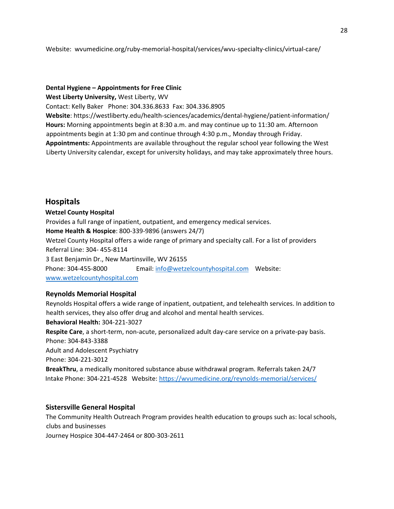Website: wvumedicine.org/ruby-memorial-hospital/services/wvu-specialty-clinics/virtual-care/

#### **Dental Hygiene – Appointments for Free Clinic**

**West Liberty University,** West Liberty, WV

Contact: Kelly Baker Phone: 304.336.8633 Fax: 304.336.8905

**Website**: https://westliberty.edu/health-sciences/academics/dental-hygiene/patient-information/ **Hours:** Morning appointments begin at 8:30 a.m. and may continue up to 11:30 am. Afternoon appointments begin at 1:30 pm and continue through 4:30 p.m., Monday through Friday. **Appointments:** Appointments are available throughout the regular school year following the West Liberty University calendar, except for university holidays, and may take approximately three hours.

## **Hospitals**

**Wetzel County Hospital**  Provides a full range of inpatient, outpatient, and emergency medical services. **Home Health & Hospice**: 800-339-9896 (answers 24/7) Wetzel County Hospital offers a wide range of primary and specialty call. For a list of providers Referral Line: 304- 455-8114 3 East Benjamin Dr., New Martinsville, WV 26155 Phone: 304-455-8000 Email: info@wetzelcountyhospital.com Website: [www.wetzelcountyhospital.com](http://www.wetzelcountyhospital.com/) 

## **Reynolds Memorial Hospital**

Reynolds Hospital offers a wide range of inpatient, outpatient, and telehealth services. In addition to health services, they also offer drug and alcohol and mental health services. **Behavioral Health:** 304-221-3027 **Respite Care**, a short-term, non-acute, personalized adult day-care service on a private-pay basis. Phone: 304-843-3388 Adult and Adolescent Psychiatry Phone: 304-221-3012 **BreakThru**, a medically monitored substance abuse withdrawal program. Referrals taken 24/7 Intake Phone: 304-221-4528 Website:<https://wvumedicine.org/reynolds-memorial/services/>

#### **Sistersville General Hospital**

The Community Health Outreach Program provides health education to groups such as: local schools, clubs and businesses Journey Hospice 304-447-2464 or 800-303-2611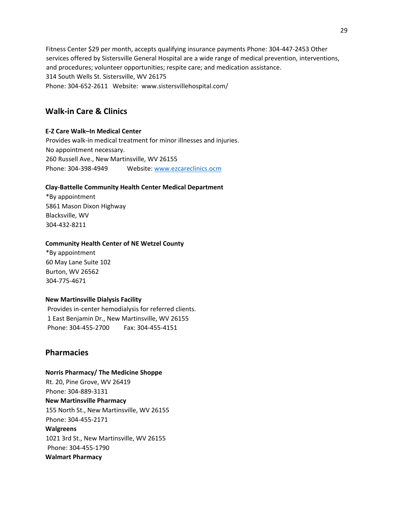Fitness Center \$29 per month, accepts qualifying insurance payments Phone: 304-447-2453 Other services offered by Sistersville General Hospital are a wide range of medical prevention, interventions, and procedures; volunteer opportunities; respite care; and medication assistance. 314 South Wells St. Sistersville, WV 26175 Phone: 304-652-2611 Website: www.sistersvillehospital.com/

## **Walk-in Care & Clinics**

## **E-Z Care Walk–In Medical Center**

Provides walk-in medical treatment for minor illnesses and injuries. No appointment necessary. 260 Russell Ave., New Martinsville, WV 26155 Phone: 304-398-4949 Website: www.ezcareclinics.ocm

## **Clay-Battelle Community Health Center Medical Department**

\*By appointment 5861 Mason Dixon Highway Blacksville, WV 304-432-8211

### **Community Health Center of NE Wetzel County**

\*By appointment 60 May Lane Suite 102 Burton, WV 26562 304-775-4671

## **New Martinsville Dialysis Facility**

Provides in-center hemodialysis for referred clients. 1 East Benjamin Dr., New Martinsville, WV 26155 Phone: 304-455-2700 Fax: 304-455-4151

## **Pharmacies**

**Norris Pharmacy/ The Medicine Shoppe**  Rt. 20, Pine Grove, WV 26419 Phone: 304-889-3131 **New Martinsville Pharmacy**  155 North St., New Martinsville, WV 26155 Phone: 304-455-2171 **Walgreens**  1021 3rd St., New Martinsville, WV 26155 Phone: 304-455-1790 **Walmart Pharmacy**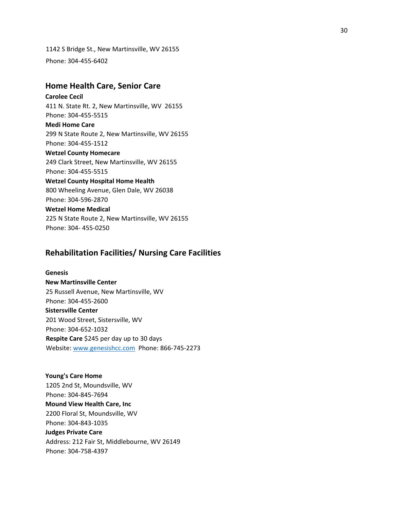1142 S Bridge St., New Martinsville, WV 26155 Phone: 304-455-6402

### **Home Health Care, Senior Care**

**Carolee Cecil**  411 N. State Rt. 2, New Martinsville, WV 26155 Phone: 304-455-5515 **Medi Home Care**  299 N State Route 2, New Martinsville, WV 26155 Phone: 304-455-1512 **Wetzel County Homecare**  249 Clark Street, New Martinsville, WV 26155 Phone: 304-455-5515 **Wetzel County Hospital Home Health**  800 Wheeling Avenue, Glen Dale, WV 26038 Phone: 304-596-2870 **Wetzel Home Medical**  225 N State Route 2, New Martinsville, WV 26155 Phone: 304- 455-0250

## **Rehabilitation Facilities/ Nursing Care Facilities**

**Genesis New Martinsville Center**  25 Russell Avenue, New Martinsville, WV Phone: 304-455-2600 **Sistersville Center**  201 Wood Street, Sistersville, WV Phone: 304-652-1032 **Respite Care** \$245 per day up to 30 days Website: [www.genesishcc.com](http://www.genesishcc.com/) Phone: 866-745-2273

**Young's Care Home**  1205 2nd St, Moundsville, WV Phone: 304-845-7694 **Mound View Health Care, Inc**  2200 Floral St, Moundsville, WV Phone: 304-843-1035 **Judges Private Care**  Address: 212 Fair St, Middlebourne, WV 26149 Phone: 304-758-4397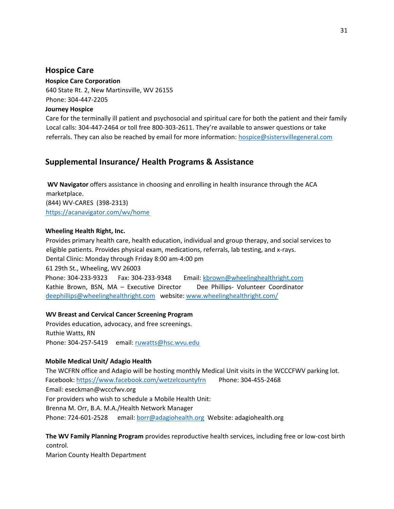## **Hospice Care**

**Hospice Care Corporation**  640 State Rt. 2, New Martinsville, WV 26155 Phone: 304-447-2205 **Journey Hospice** 

Care for the terminally ill patient and psychosocial and spiritual care for both the patient and their family Local calls: 304-447-2464 or toll free 800-303-2611. They're available to answer questions or take referrals. They can also be reached by email for more information: hospice@sistersvillegeneral.com

## **Supplemental Insurance/ Health Programs & Assistance**

**WV Navigator** offers assistance in choosing and enrolling in health insurance through the ACA marketplace. (844) WV-CARES (398-2313) <https://acanavigator.com/wv/home>

## **Wheeling Health Right, Inc.**

Provides primary health care, health education, individual and group therapy, and social services to eligible patients. Provides physical exam, medications, referrals, lab testing, and x-rays. Dental Clinic: Monday through Friday 8:00 am-4:00 pm 61 29th St., Wheeling, WV 26003 Phone: 304-233-9323 Fax: 304-233-9348 Email: kbrown@wheelinghealthright.com Kathie Brown, BSN, MA – Executive Director Dee Phillips- Volunteer Coordinator deephillips@wheelinghealthright.com website: [www.wheelinghealthright.com/](http://www.wheelinghealthright.com/)

## **WV Breast and Cervical Cancer Screening Program**

Provides education, advocacy, and free screenings. Ruthie Watts, RN Phone: 304-257-5419 email: ruwatts@hsc.wvu.edu

## **Mobile Medical Unit/ Adagio Health**

The WCFRN office and Adagio will be hosting monthly Medical Unit visits in the WCCCFWV parking lot. Facebook:<https://www.facebook.com/wetzelcountyfrn>Phone: 304-455-2468 Email: eseckman@wcccfwv.org For providers who wish to schedule a Mobile Health Unit: Brenna M. Orr, B.A. M.A./Health Network Manager Phone: 724-601-2528 email: borr@adagiohealth.org Website: adagiohealth.org

**The WV Family Planning Program** provides reproductive health services, including free or low-cost birth control.

Marion County Health Department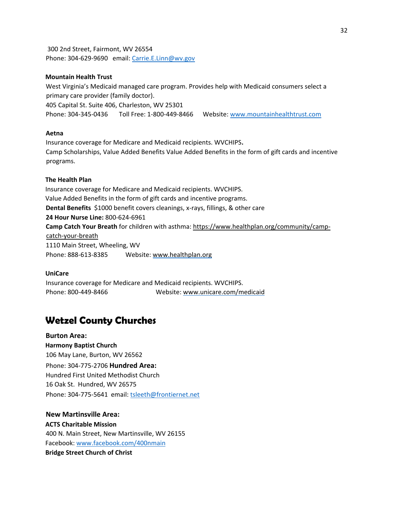300 2nd Street, Fairmont, WV 26554 Phone: 304-629-9690 email: Carrie.E.Linn@wv.gov

#### **Mountain Health Trust**

West Virginia's Medicaid managed care program. Provides help with Medicaid consumers select a primary care provider (family doctor). 405 Capital St. Suite 406, Charleston, WV 25301 Phone: 304-345-0436 Toll Free: 1-800-449-8466 Website: [www.mountainhealthtrust.com](http://www.mountainhealthtrust.com/)

#### **Aetna**

Insurance coverage for Medicare and Medicaid recipients. WVCHIPS**.**  Camp Scholarships, Value Added Benefits Value Added Benefits in the form of gift cards and incentive programs.

#### **The Health Plan**

Insurance coverage for Medicare and Medicaid recipients. WVCHIPS. Value Added Benefits in the form of gift cards and incentive programs. **Dental Benefits** \$1000 benefit covers cleanings, x-rays, fillings, & other care **24 Hour Nurse Line:** 800-624-6961 **Camp Catch Your Breath** for children with asthma: [https://www.healthplan.org/community/camp](https://www.healthplan.org/community/camp-catch-your-breath)[catch-your-breath](https://www.healthplan.org/community/camp-catch-your-breath) 1110 Main Street, Wheeling, WV Phone: 888-613-8385 Website: [www.healthplan.org](http://www.healthplan.org/) 

#### **UniCare**

Insurance coverage for Medicare and Medicaid recipients. WVCHIPS. Phone: 800-449-8466 Website[: www.unicare.com/medicaid](http://www.unicare.com/medicaid) 

# **Wetzel County Churches**

**Burton Area: Harmony Baptist Church**  106 May Lane, Burton, WV 26562 Phone: 304-775-2706 **Hundred Area:**  Hundred First United Methodist Church 16 Oak St. Hundred, WV 26575 Phone: 304-775-5641 email[: tsleeth@frontiernet.net](https://webmail.suddenlink.net/do/mail/message/mailto?to=tsleeth%40frontiernet.net)

**New Martinsville Area: ACTS Charitable Mission**  400 N. Main Street, New Martinsville, WV 26155 Facebook: [www.facebook.com/400nmain](http://www.facebook.com/400nmain)  **Bridge Street Church of Christ**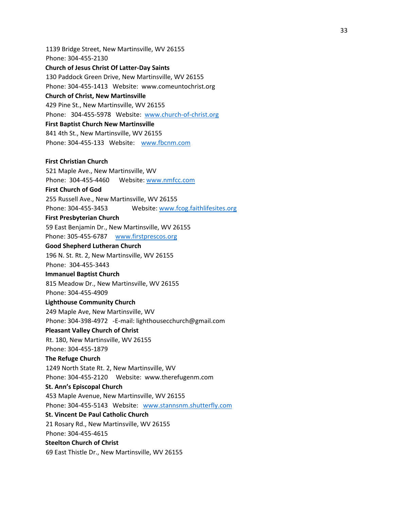1139 Bridge Street, New Martinsville, WV 26155 Phone: 304-455-2130 **Church of Jesus Christ Of Latter-Day Saints**  130 Paddock Green Drive, New Martinsville, WV 26155 Phone: 304-455-1413 Website: www.comeuntochrist.org **Church of Christ, New Martinsville**  429 Pine St., New Martinsville, WV 26155 Phone: 304-455-5978 Website: [www.church-of-christ.org](http://www.church-of-christ.org/)  **First Baptist Church New Martinsville**  841 4th St., New Martinsville, WV 26155 Phone: 304-455-133 Website: [www.fbcnm.com](http://www.fbcnm.com/) **First Christian Church**  521 Maple Ave., New Martinsville, WV Phone: 304-455-4460 Website: www.nmfcc.com **First Church of God**  255 Russell Ave., New Martinsville, WV 26155 Phone: 304-455-3453 Website: www.fcog.faithlifesites.org **First Presbyterian Church**  59 East Benjamin Dr., New Martinsville, WV 26155 Phone: 305-455-6787 [www.firstprescos.org](http://www.firstprescos.org/)  **Good Shepherd Lutheran Church**  196 N. St. Rt. 2, New Martinsville, WV 26155 Phone: 304-455-3443 **Immanuel Baptist Church**  815 Meadow Dr., New Martinsville, WV 26155 Phone: 304-455-4909 **Lighthouse Community Church**  249 Maple Ave, New Martinsville, WV Phone: 304-398-4972 -E-mail: lighthousecchurch@gmail.com **Pleasant Valley Church of Christ**  Rt. 180, New Martinsville, WV 26155 Phone: 304-455-1879 **The Refuge Church**  1249 North State Rt. 2, New Martinsville, WV Phone: 304-455-2120 Website: www.therefugenm.com **St. Ann's Episcopal Church**  453 Maple Avenue, New Martinsville, WV 26155 Phone: 304-455-5143 Website: www.stannsnm.shutterfly.com **St. Vincent De Paul Catholic Church**  21 Rosary Rd., New Martinsville, WV 26155 Phone: 304-455-4615 **Steelton Church of Christ**  69 East Thistle Dr., New Martinsville, WV 26155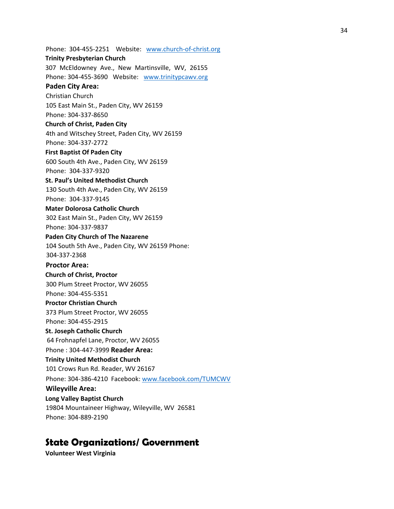Phone: 304-455-2251 Website: [www.church-of-christ.org](http://www.church-of-christ.org/)  **Trinity Presbyterian Church**  307 McEldowney Ave., New Martinsville, WV, 26155 Phone: 304-455-3690 Website: [www.trinitypcawv.org](http://www.trinitypcawv.org/)  **Paden City Area:**  Christian Church 105 East Main St., Paden City, WV 26159 Phone: 304-337-8650 **Church of Christ, Paden City**  4th and Witschey Street, Paden City, WV 26159 Phone: 304-337-2772 **First Baptist Of Paden City**  600 South 4th Ave., Paden City, WV 26159 Phone: 304-337-9320 **St. Paul's United Methodist Church**  130 South 4th Ave., Paden City, WV 26159 Phone: 304-337-9145 **Mater Dolorosa Catholic Church**  302 East Main St., Paden City, WV 26159 Phone: 304-337-9837 **Paden City Church of The Nazarene**  104 South 5th Ave., Paden City, WV 26159 Phone: 304-337-2368 **Proctor Area: Church of Christ, Proctor**  300 Plum Street Proctor, WV 26055 Phone: 304-455-5351 **Proctor Christian Church**  373 Plum Street Proctor, WV 26055 Phone: 304-455-2915 **St. Joseph Catholic Church**  64 Frohnapfel Lane, Proctor, WV 26055 Phone : 304-447-3999 **Reader Area: Trinity United Methodist Church**  101 Crows Run Rd. Reader, WV 26167 Phone: 304-386-4210 Facebook: [www.facebook.com/TUMCWV](http://www.facebook.com/TUMCWV) **[Wi](http://www.facebook.com/TUMCWV)leyville Area: Long Valley Baptist Church**  19804 Mountaineer Highway, Wileyville, WV 26581 Phone: 304-889-2190

# **State Organizations/ Government**

**Volunteer West Virginia**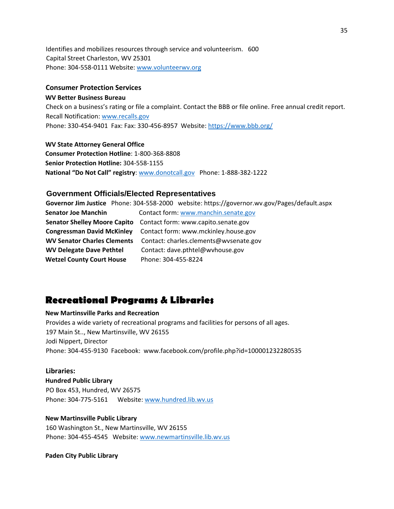Identifies and mobilizes resources through service and volunteerism. 600 Capital Street Charleston, WV 25301 Phone: 304-558-0111 Website[: www.volunteerwv.org](http://www.volunteerwv.org/)

#### **Consumer Protection Services**

#### **WV Better Business Bureau**

Check on a business's rating or file a complaint. Contact the BBB or file online. Free annual credit report. Recall Notification: [www.recalls.gov](http://www.recalls.gov/)  Phone: 330-454-9401 Fax: Fax: 330-456-8957 Website[: https://www.bbb.org/](https://www.bbb.org/)

#### **WV State Attorney General Office**

**Consumer Protection Hotline**: 1-800-368-8808 **Senior Protection Hotline:** 304-558-1155 **National "Do Not Call" registry**: [www.donotcall.gov](http://www.donotcall.gov/) Phone: 1-888-382-1222

#### **Government Officials/Elected Representatives**

**Governor Jim Justice** Phone: 304-558-2000 website: https://governor.wv.gov/Pages/default.aspx **Senator Joe Manchin Contact form: www.manchin.senate.gov Senator Shelley Moore Capito** Contact form: www.capito.senate.gov **Congressman David McKinley** Contact form: www.mckinley.house.gov **WV Senator Charles Clements** Contact: charles.clements@wvsenate.gov **WV Delegate Dave Pethtel** Contact: dave.pthtel@wvhouse.gov **Wetzel County Court House** Phone: 304-455-8224

## **Recreational Programs & Libraries**

#### **New Martinsville Parks and Recreation**

Provides a wide variety of recreational programs and facilities for persons of all ages. 197 Main St.., New Martinsville, WV 26155 Jodi Nippert, Director Phone: 304-455-9130 Facebook: www.facebook.com/profile.php?id=100001232280535

### **Libraries:**

#### **Hundred Public Library**

PO Box 453, Hundred, WV 26575 Phone: 304-775-5161 Website: www.hundred.lib.wv.us

#### **New Martinsville Public Library**

160 Washington St., New Martinsville, WV 26155 Phone: 304-455-4545 Website[: www.newmartinsville.lib.wv.us](http://www.newmartinsville.lib.wv.us/) 

#### **Paden City Public Library**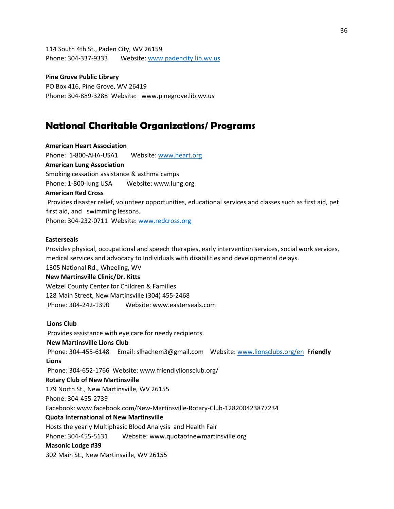114 South 4th St., Paden City, WV 26159 Phone: 304-337-9333 Website: www.padencity.lib.wv.us

**Pine Grove Public Library**  PO Box 416, Pine Grove, WV 26419 Phone: 304-889-3288 Website: www.pinegrove.lib.wv.us

# **National Charitable Organizations/ Programs**

**American Heart Association**  Phone: 1-800-AHA-USA1 Website: www.heart.org **American Lung Association**  Smoking cessation assistance & asthma camps Phone: 1-800-lung USA Website: www.lung.org **American Red Cross**  Provides disaster relief, volunteer opportunities, educational services and classes such as first aid, pet first aid, and swimming lessons. Phone: 304-232-0711 Website: [www.redcross.org](http://www.redcross.org/)

#### **Easterseals**

Provides physical, occupational and speech therapies, early intervention services, social work services, medical services and advocacy to Individuals with disabilities and developmental delays. 1305 National Rd., Wheeling, WV **New Martinsville Clinic/Dr. Kitts**  Wetzel County Center for Children & Families 128 Main Street, New Martinsville (304) 455-2468 Phone: 304-242-1390 Website: www.easterseals.com **Lions Club**  Provides assistance with eye care for needy recipients.

**New Martinsville Lions Club**  Phone: 304-455-6148 Email: slhachem3@gmail.com Website: [www.lionsclubs.org/en](http://www.lionsclubs.org/en) **Friendly Lions**  Phone: 304-652-1766 Website: www.friendlylionsclub.org/ **Rotary Club of New Martinsville** 179 North St., New Martinsville, WV 26155 Phone: 304-455-2739 Facebook: www.facebook.com/New-Martinsville-Rotary-Club-128200423877234 **Quota International of New Martinsville**  Hosts the yearly Multiphasic Blood Analysis and Health Fair Phone: 304-455-5131 Website: www.quotaofnewmartinsville.org **Masonic Lodge #39**

302 Main St., New Martinsville, WV 26155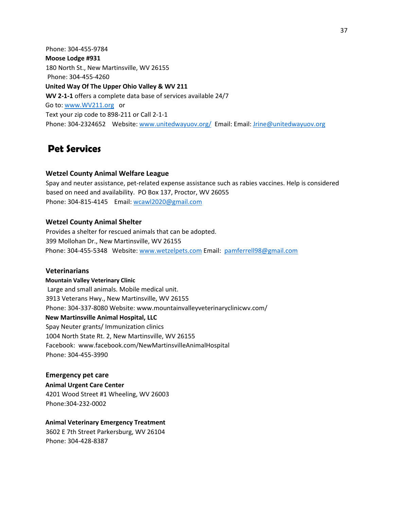Phone: 304-455-9784 **Moose Lodge #931**  180 North St., New Martinsville, WV 26155 Phone: 304-455-4260 **United Way Of The Upper Ohio Valley & WV 211 WV 2-1-1** offers a complete data base of services available 24/7 Go to[: www.WV211.org o](http://www.wv211.org/)r Text your zip code to 898-211 or Call 2-1-1 Phone: 304-2324652 Website[: www.unitedwayuov.org/ E](http://www.unitedwayuov.org/)mail: Email: Jrine@unitedwayuov.org

# **Pet Services**

### **Wetzel County Animal Welfare League**

Spay and neuter assistance, pet-related expense assistance such as rabies vaccines. Help is considered based on need and availability. PO Box 137, Proctor, WV 26055 Phone: 304-815-4145 Email: wcawl2020@gmail.com

### **Wetzel County Animal Shelter**

Provides a shelter for rescued animals that can be adopted. 399 Mollohan Dr., New Martinsville, WV 26155 Phone: 304-455-5348 Website: [www.wetzelpets.com](http://www.wetzelpets.com/) [Em](http://www.wetzelpets.com/)ail: pamferrell98@gmail.com

#### **Veterinarians**

**Mountain Valley Veterinary Clinic**  Large and small animals. Mobile medical unit. 3913 Veterans Hwy., New Martinsville, WV 26155 Phone: 304-337-8080 Website: www.mountainvalleyveterinaryclinicwv.com/ **New Martinsville Animal Hospital, LLC**  Spay Neuter grants/ Immunization clinics 1004 North State Rt. 2, New Martinsville, WV 26155 Facebook: www.facebook.com/NewMartinsvilleAnimalHospital Phone: 304-455-3990

**Emergency pet care Animal Urgent Care Center**  4201 Wood Street #1 Wheeling, WV 26003 Phone:304-232-0002

#### **Animal Veterinary Emergency Treatment**

3602 E 7th Street Parkersburg, WV 26104 Phone: 304-428-8387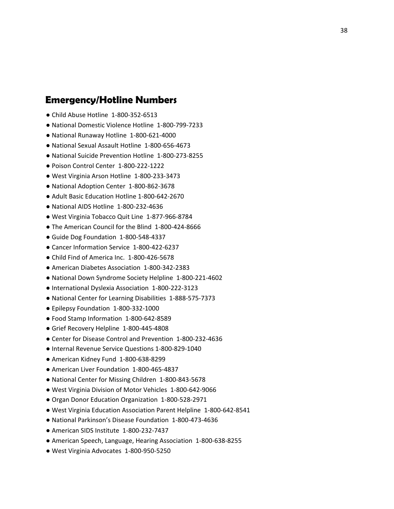## **Emergency/Hotline Numbers**

- Child Abuse Hotline 1-800-352-6513
- National Domestic Violence Hotline 1-800-799-7233
- National Runaway Hotline 1-800-621-4000
- National Sexual Assault Hotline 1-800-656-4673
- National Suicide Prevention Hotline 1-800-273-8255
- Poison Control Center 1-800-222-1222
- West Virginia Arson Hotline 1-800-233-3473
- National Adoption Center 1-800-862-3678
- Adult Basic Education Hotline 1-800-642-2670
- National AIDS Hotline 1-800-232-4636
- West Virginia Tobacco Quit Line 1-877-966-8784
- The American Council for the Blind 1-800-424-8666
- Guide Dog Foundation 1-800-548-4337
- Cancer Information Service 1-800-422-6237
- Child Find of America Inc. 1-800-426-5678
- American Diabetes Association 1-800-342-2383
- National Down Syndrome Society Helpline 1-800-221-4602
- International Dyslexia Association 1-800-222-3123
- National Center for Learning Disabilities 1-888-575-7373
- Epilepsy Foundation 1-800-332-1000
- Food Stamp Information 1-800-642-8589
- Grief Recovery Helpline 1-800-445-4808
- Center for Disease Control and Prevention 1-800-232-4636
- Internal Revenue Service Questions 1-800-829-1040
- American Kidney Fund 1-800-638-8299
- American Liver Foundation 1-800-465-4837
- National Center for Missing Children 1-800-843-5678
- West Virginia Division of Motor Vehicles 1-800-642-9066
- Organ Donor Education Organization 1-800-528-2971
- West Virginia Education Association Parent Helpline 1-800-642-8541
- National Parkinson's Disease Foundation 1-800-473-4636
- American SIDS Institute 1-800-232-7437
- American Speech, Language, Hearing Association 1-800-638-8255
- West Virginia Advocates 1-800-950-5250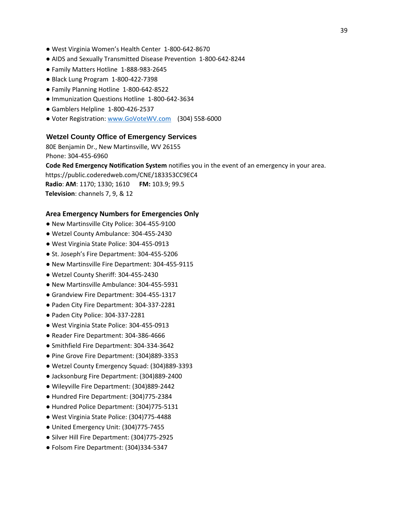- West Virginia Women's Health Center 1-800-642-8670
- AIDS and Sexually Transmitted Disease Prevention 1-800-642-8244
- Family Matters Hotline 1-888-983-2645
- Black Lung Program 1-800-422-7398
- Family Planning Hotline 1-800-642-8522
- Immunization Questions Hotline 1-800-642-3634
- Gamblers Helpline 1-800-426-2537
- Voter Registration: [www.GoVoteWV.com](http://www.govotewv.com/) (304) 558-6000

#### **Wetzel County Office of Emergency Services**

80E Benjamin Dr., New Martinsville, WV 26155 Phone: 304-455-6960

**Code Red Emergency Notification System** notifies you in the event of an emergency in your area.

https://public.coderedweb.com/CNE/183353CC9EC4

**Radio**: **AM**: 1170; 1330; 1610 **FM:** 103.9; 99.5 **Television**: channels 7, 9, & 12

#### **Area Emergency Numbers for Emergencies Only**

- New Martinsville City Police: 304-455-9100
- Wetzel County Ambulance: 304-455-2430
- West Virginia State Police: 304-455-0913
- St. Joseph's Fire Department: 304-455-5206
- New Martinsville Fire Department: 304-455-9115
- Wetzel County Sheriff: 304-455-2430
- New Martinsville Ambulance: 304-455-5931
- Grandview Fire Department: 304-455-1317
- Paden City Fire Department: 304-337-2281
- Paden City Police: 304-337-2281
- West Virginia State Police: 304-455-0913
- Reader Fire Department: 304-386-4666
- Smithfield Fire Department: 304-334-3642
- Pine Grove Fire Department: (304)889-3353
- Wetzel County Emergency Squad: (304)889-3393
- Jacksonburg Fire Department: (304)889-2400
- Wileyville Fire Department: (304)889-2442
- Hundred Fire Department: (304)775-2384
- Hundred Police Department: (304)775-5131
- West Virginia State Police: (304)775-4488
- United Emergency Unit: (304)775-7455
- Silver Hill Fire Department: (304)775-2925
- Folsom Fire Department: (304)334-5347